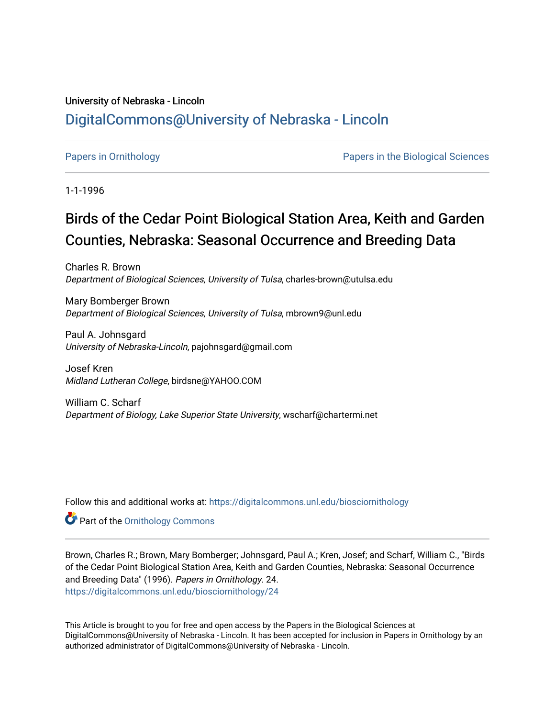# University of Nebraska - Lincoln [DigitalCommons@University of Nebraska - Lincoln](https://digitalcommons.unl.edu/)

[Papers in Ornithology](https://digitalcommons.unl.edu/biosciornithology) [Papers in the Biological Sciences](https://digitalcommons.unl.edu/bioscipapers) 

1-1-1996

# Birds of the Cedar Point Biological Station Area, Keith and Garden Counties, Nebraska: Seasonal Occurrence and Breeding Data

Charles R. Brown Department of Biological Sciences, University of Tulsa, charles-brown@utulsa.edu

Mary Bomberger Brown Department of Biological Sciences, University of Tulsa, mbrown9@unl.edu

Paul A. Johnsgard University of Nebraska-Lincoln, pajohnsgard@gmail.com

Josef Kren Midland Lutheran College, birdsne@YAHOO.COM

William C. Scharf Department of Biology, Lake Superior State University, wscharf@chartermi.net

Follow this and additional works at: [https://digitalcommons.unl.edu/biosciornithology](https://digitalcommons.unl.edu/biosciornithology?utm_source=digitalcommons.unl.edu%2Fbiosciornithology%2F24&utm_medium=PDF&utm_campaign=PDFCoverPages) 

**Part of the Ornithology Commons** 

Brown, Charles R.; Brown, Mary Bomberger; Johnsgard, Paul A.; Kren, Josef; and Scharf, William C., "Birds of the Cedar Point Biological Station Area, Keith and Garden Counties, Nebraska: Seasonal Occurrence and Breeding Data" (1996). Papers in Ornithology. 24. [https://digitalcommons.unl.edu/biosciornithology/24](https://digitalcommons.unl.edu/biosciornithology/24?utm_source=digitalcommons.unl.edu%2Fbiosciornithology%2F24&utm_medium=PDF&utm_campaign=PDFCoverPages) 

This Article is brought to you for free and open access by the Papers in the Biological Sciences at DigitalCommons@University of Nebraska - Lincoln. It has been accepted for inclusion in Papers in Ornithology by an authorized administrator of DigitalCommons@University of Nebraska - Lincoln.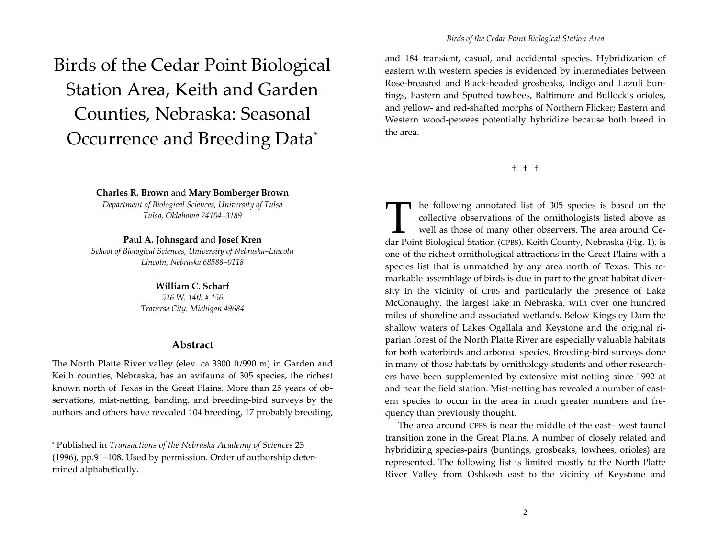# Birds of the Cedar Point Biological Station Area, Keith and Garden Counties, Nebraska: Seasonal Occurrence and Breeding Data\*

**Charles R. Brown** and **Mary Bomberger Brown**

*Department of Biological Sciences, University of Tulsa Tulsa, Oklahoma 74104–3189*

#### **Paul A. Johnsgard** and **Josef Kren**

*School of Biological Sciences, University of Nebraska–Lincoln Lincoln, Nebraska 68588–0118*

#### **William C. Scharf**

*526 W. 14th # 156 Traverse City, Michigan 49684*

#### **Abstract**

The North Platte River valley (elev. ca 3300 ft/990 m) in Garden and Keith counties, Nebraska, has an avifauna of 305 species, the richest known north of Texas in the Great Plains. More than 25 years of ob‐ servations, mist-netting, banding, and breeding-bird surveys by the authors and others have revealed 104 breeding, <sup>17</sup> probably breeding,

and 184 transient, casual, and accidental species. Hybridization of eastern with western species is evidenced by intermediates between Rose‐breasted and Black‐headed grosbeaks, Indigo and Lazuli bun‐ tings, Eastern and Spotted towhees, Baltimore and Bullock's orioles, and yellow‐ and red‐shafted morphs of Northern Flicker; Eastern and Western wood‐pewees potentially hybridize because both breed in the area.

† † †

The following annotated list of 305 species is based on the collective observations of the ornithologists listed above as well as those of many other observers. The area around Cecollective observations of the ornithologists listed above as well as those of many other observers. The area around Ce‐ dar Point Biological Station (CPBS), Keith County, Nebraska (Fig. 1), is one of the richest ornithological attractions in the Great Plains with <sup>a</sup> species list that is unmatched by any area north of Texas. This remarkable assemblage of birds is due in par<sup>t</sup> to the grea<sup>t</sup> habitat diver‐ sity in the vicinity of CPBS and particularly the presence of Lake McConaughy, the largest lake in Nebraska, with over one hundred miles of shoreline and associated wetlands. Below Kingsley Dam the shallow waters of Lakes Ogallala and Keystone and the original ri‐ parian forest of the North Platte River are especially valuable habitats for both waterbirds and arboreal species. Breeding‐bird surveys done in many of those habitats by ornithology students and other research‐ ers have been supplemented by extensive mist‐netting since 1992 at and near the field station. Mist‐netting has revealed <sup>a</sup> number of east‐ ern species to occur in the area in much greater numbers and fre‐ quency than previously thought.

The area around CPBS is near the middle of the east– west faunal transition zone in the Great Plains. A number of closely related and hybridizing species-pairs (buntings, grosbeaks, towhees, orioles) are represented. The following list is limited mostly to the North Platte River Valley from Oshkosh east to the vicinity of Keystone and

<sup>\*</sup> Published in *Transactions of the Nebraska Academy of Sciences* 23 (1996), pp.91–108. Used by permission. Order of authorship deter‐ mined alphabetically.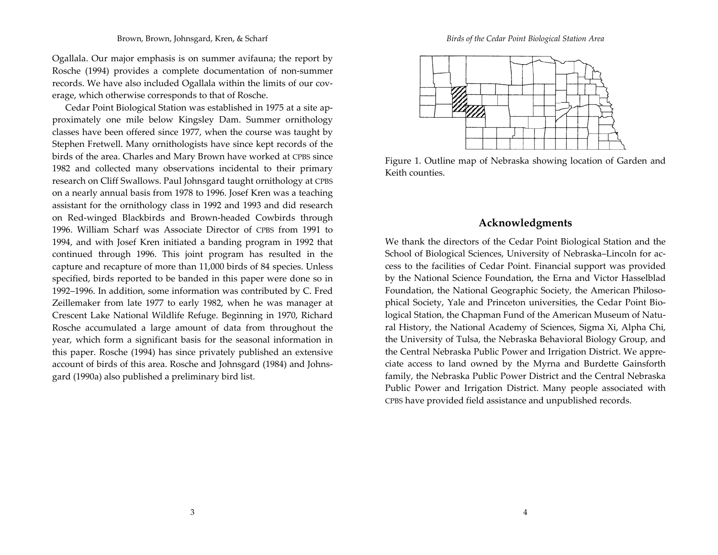Ogallala. Our major emphasis is on summer avifauna; the repor<sup>t</sup> by Rosche (1994) provides <sup>a</sup> complete documentation of non‐summer records. We have also included Ogallala within the limits of our cov‐ erage, which otherwise corresponds to that of Rosche.

Cedar Point Biological Station was established in 1975 at <sup>a</sup> site ap‐ proximately one mile below Kingsley Dam. Summer ornithology classes have been offered since 1977, when the course was taught by Stephen Fretwell. Many ornithologists have since kept records of the birds of the area. Charles and Mary Brown have worked at CPBS since 1982 and collected many observations incidental to their primary research on Cliff Swallows. Paul Johnsgard taught ornithology at CPBS on <sup>a</sup> nearly annual basis from 1978 to 1996. Josef Kren was <sup>a</sup> teaching assistant for the ornithology class in 1992 and 1993 and did research on Red‐winged Blackbirds and Brown‐headed Cowbirds through 1996. William Scharf was Associate Director of CPBS from 1991 to 1994, and with Josef Kren initiated <sup>a</sup> banding program in 1992 that continued through 1996. This joint program has resulted in the capture and recapture of more than 11,000 birds of 84 species. Unless specified, birds reported to be banded in this paper were done so in 1992–1996. In addition, some information was contributed by C. Fred Zeillemaker from late 1977 to early 1982, when he was manager at Crescent Lake National Wildlife Refuge. Beginning in 1970, Richard Rosche accumulated <sup>a</sup> large amount of data from throughout the year, which form <sup>a</sup> significant basis for the seasonal information in this paper. Rosche (1994) has since privately published an extensive account of birds of this area. Rosche and Johnsgard (1984) and Johns‐ gard (1990a) also published <sup>a</sup> preliminary bird list.

*Birds of the Cedar Point Biological Station Area*



Figure 1. Outline map of Nebraska showing location of Garden and Keith counties.

### **Acknowledgments**

We thank the directors of the Cedar Point Biological Station and the School of Biological Sciences, University of Nebraska–Lincoln for ac‐ cess to the facilities of Cedar Point. Financial suppor<sup>t</sup> was provided by the National Science Foundation, the Erna and Victor Hasselblad Foundation, the National Geographic Society, the American Philosophical Society, Yale and Princeton universities, the Cedar Point Biological Station, the Chapman Fund of the American Museum of Natu‐ ral History, the National Academy of Sciences, Sigma Xi, Alpha Chi, the University of Tulsa, the Nebraska Behavioral Biology Group, and the Central Nebraska Public Power and Irrigation District. We appre‐ ciate access to land owned by the Myrna and Burdette Gainsforth family, the Nebraska Public Power District and the Central Nebraska Public Power and Irrigation District. Many people associated with CPBS have provided field assistance and unpublished records.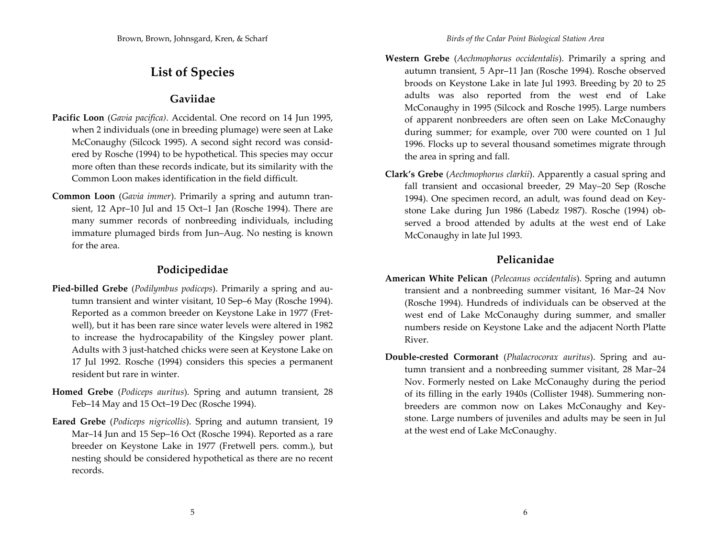# **List of Species**

# **Gaviidae**

- **Pacific Loon** (*Gavia pacifica)*. Accidental. One record on <sup>14</sup> Jun 1995, when <sup>2</sup> individuals (one in breeding plumage) were seen at Lake McConaughy (Silcock 1995). A second sight record was consid‐ ered by Rosche (1994) to be hypothetical. This species may occur more often than these records indicate, but its similarity with the Common Loon makes identification in the field difficult.
- **Common Loon** (*Gavia immer*). Primarily <sup>a</sup> spring and autumn tran‐ sient, <sup>12</sup> Apr–10 Jul and 15 Oct–1 Jan (Rosche 1994). There are many summer records of nonbreeding individuals, including immature plumaged birds from Jun–Aug. No nesting is known for the area.

# **Podicipedidae**

- **Pied‐billed Grebe** (*Podilymbus podiceps*). Primarily <sup>a</sup> spring and au‐ tumn transient and winter visitant, 10 Sep–6 May (Rosche 1994). Reported as <sup>a</sup> common breeder on Keystone Lake in 1977 (Fret‐ well), but it has been rare since water levels were altered in 1982 to increase the hydrocapability of the Kingsley power plant. Adults with 3 just‐hatched chicks were seen at Keystone Lake on 17 Jul 1992. Rosche (1994) considers this species <sup>a</sup> permanen<sup>t</sup> resident but rare in winter.
- **Homed Grebe** (*Podiceps auritus*). Spring and autumn transient, <sup>28</sup> Feb–14 May and 15 Oct–19 Dec (Rosche 1994).
- **Eared Grebe** (*Podiceps nigricollis*). Spring and autumn transient, 19 Mar–14 Jun and 15 Sep–16 Oct (Rosche 1994). Reported as <sup>a</sup> rare breeder on Keystone Lake in 1977 (Fretwell pers. comm.), but nesting should be considered hypothetical as there are no recent records.
- **Western Grebe** (*Aechmophorus occidentalis*). Primarily <sup>a</sup> spring and autumn transient, <sup>5</sup> Apr–11 Jan (Rosche 1994). Rosche observed broods on Keystone Lake in late Jul 1993. Breeding by 20 to 25 adults was also reported from the west end of Lake McConaughy in 1995 (Silcock and Rosche 1995). Large numbers of apparen<sup>t</sup> nonbreeders are often seen on Lake McConaughy during summer; for example, over 700 were counted on <sup>1</sup> Jul 1996. Flocks up to several thousand sometimes migrate through the area in spring and fall.
- **Clark's Grebe** (*Aechmophorus clarkii*). Apparently <sup>a</sup> casual spring and fall transient and occasional breeder, 29 May–20 Sep (Rosche 1994). One specimen record, an adult, was found dead on Key‐ stone Lake during Jun 1986 (Labedz 1987). Rosche (1994) ob‐ served <sup>a</sup> brood attended by adults at the west end of Lake McConaughy in late Jul 1993.

# **Pelicanidae**

- **American White Pelican** (*Pelecanus occidentalis*). Spring and autumn transient and <sup>a</sup> nonbreeding summer visitant, 16 Mar–24 Nov (Rosche 1994). Hundreds of individuals can be observed at the west end of Lake McConaughy during summer, and smaller numbers reside on Keystone Lake and the adjacent North Platte River.
- **Double‐crested Cormorant** (*Phalacrocorax auritus*). Spring and au‐ tumn transient and <sup>a</sup> nonbreeding summer visitant, 28 Mar–24 Nov. Formerly nested on Lake McConaughy during the period of its filling in the early 1940s (Collister 1948). Summering non‐ breeders are common now on Lakes McConaughy and Key‐ stone. Large numbers of juveniles and adults may be seen in Jul at the west end of Lake McConaughy.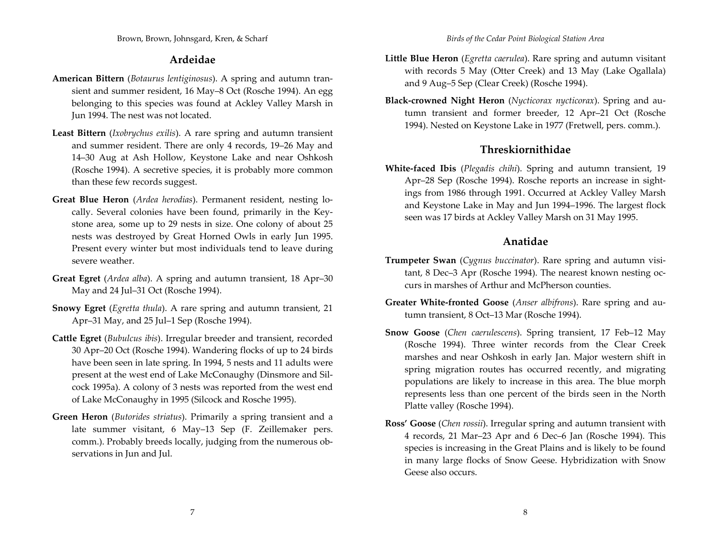# **Ardeidae**

- **American Bittern** (*Botaurus lentiginosus*). A spring and autumn tran‐ sient and summer resident, 16 May–8 Oct (Rosche 1994). An egg belonging to this species was found at Ackley Valley Marsh in Jun 1994. The nest was not located.
- **Least Bittern** (*Ixobrychus exilis*). A rare spring and autumn transient and summer resident. There are only 4 records, 19–26 May and 14–30 Aug at Ash Hollow, Keystone Lake and near Oshkosh (Rosche 1994). A secretive species, it is probably more common than these few records suggest.
- **Great Blue Heron** (*Ardea herodias*). Permanent resident, nesting lo‐ cally. Several colonies have been found, primarily in the Key‐ stone area, some up to 29 nests in size. One colony of about <sup>25</sup> nests was destroyed by Great Horned Owls in early Jun 1995. Present every winter but most individuals tend to leave during severe weather.
- **Great Egret** (*Ardea alba*). A spring and autumn transient, 18 Apr–30 May and <sup>24</sup> Jul–31 Oct (Rosche 1994).
- **Snowy Egret** (*Egretta thula*). A rare spring and autumn transient, <sup>21</sup> Apr–31 May, and <sup>25</sup> Jul–1 Sep (Rosche 1994).
- **Cattle Egret** (*Bubulcus ibis*). Irregular breeder and transient, recorded 30 Apr–20 Oct (Rosche 1994). Wandering flocks of up to <sup>24</sup> birds have been seen in late spring. In 1994, <sup>5</sup> nests and <sup>11</sup> adults were presen<sup>t</sup> at the west end of Lake McConaughy (Dinsmore and Sil‐ cock 1995a). A colony of 3 nests was reported from the west end of Lake McConaughy in 1995 (Silcock and Rosche 1995).
- **Green Heron** (*Butorides striatus*). Primarily <sup>a</sup> spring transient and <sup>a</sup> late summer visitant, 6 May–13 Sep (F. Zeillemaker pers. comm.). Probably breeds locally, judging from the numerous observations in Jun and Jul.
- **Little Blue Heron** (*Egretta caerulea*). Rare spring and autumn visitant with records <sup>5</sup> May (Otter Creek) and 13 May (Lake Ogallala) and 9 Aug–5 Sep (Clear Creek) (Rosche 1994).
- **Black‐crowned Night Heron** (*Nycticorax nycticorax*). Spring and au‐ tumn transient and former breeder, <sup>12</sup> Apr–21 Oct (Rosche 1994). Nested on Keystone Lake in 1977 (Fretwell, pers. comm.).

# **Threskiornithidae**

**White‐faced Ibis** (*Plegadis chihi*). Spring and autumn transient, 19 Apr–28 Sep (Rosche 1994). Rosche reports an increase in sight‐ ings from 1986 through 1991. Occurred at Ackley Valley Marsh and Keystone Lake in May and Jun 1994–1996. The largest flock seen was <sup>17</sup> birds at Ackley Valley Marsh on 31 May 1995.

# **Anatidae**

- **Trumpeter Swan** (*Cygnus buccinator*). Rare spring and autumn visi‐ tant, <sup>8</sup> Dec–3 Apr (Rosche 1994). The nearest known nesting oc‐ curs in marshes of Arthur and McPherson counties.
- **Greater White‐fronted Goose** (*Anser albifrons*). Rare spring and au‐ tumn transient, 8 Oct–13 Mar (Rosche 1994).
- **Snow Goose** (*Chen caerulescens*). Spring transient, <sup>17</sup> Feb–12 May (Rosche 1994). Three winter records from the Clear Creek marshes and near Oshkosh in early Jan. Major western shift in spring migration routes has occurred recently, and migrating populations are likely to increase in this area. The blue morph represents less than one percen<sup>t</sup> of the birds seen in the North Platte valley (Rosche 1994).
- **Ross' Goose** (*Chen rossii*). Irregular spring and autumn transient with 4 records, <sup>21</sup> Mar–23 Apr and 6 Dec–6 Jan (Rosche 1994). This species is increasing in the Great Plains and is likely to be found in many large flocks of Snow Geese. Hybridization with Snow Geese also occurs.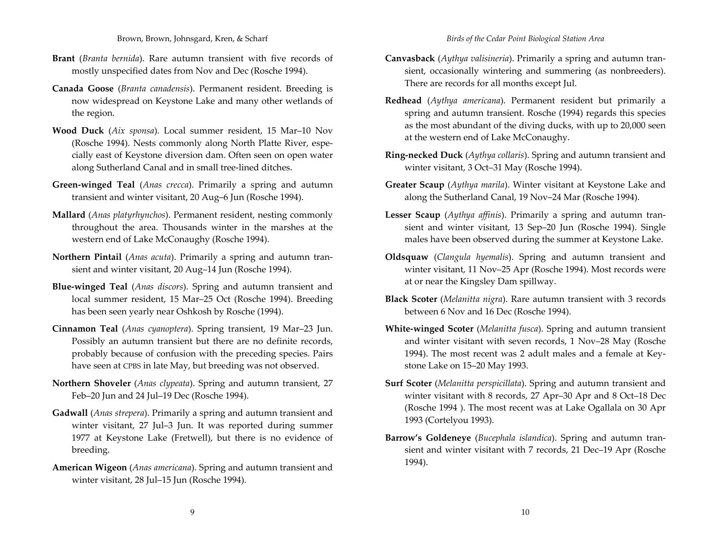Brown, Brown, Johnsgard, Kren, & Scharf

- **Brant** (*Branta bernida*). Rare autumn transient with five records of mostly unspecified dates from Nov and Dec (Rosche 1994).
- **Canada Goose** (*Branta canadensis*). Permanent resident. Breeding is now widespread on Keystone Lake and many other wetlands of the region.
- **Wood Duck** (*Aix sponsa*). Local summer resident, 15 Mar–10 Nov (Rosche 1994). Nests commonly along North Platte River, espe‐ cially east of Keystone diversion dam. Often seen on open water along Sutherland Canal and in small tree‐lined ditches.
- **Green‐winged Teal** (*Anas crecca*). Primarily <sup>a</sup> spring and autumn transient and winter visitant, 20 Aug–6 Jun (Rosche 1994).
- **Mallard** (*Anas platyrhynchos*). Permanent resident, nesting commonly throughout the area. Thousands winter in the marshes at the western end of Lake McConaughy (Rosche 1994).
- **Northern Pintail** (*Anas acuta*). Primarily <sup>a</sup> spring and autumn tran‐ sient and winter visitant, 20 Aug–14 Jun (Rosche 1994).
- **Blue‐winged Teal** (*Anas discors*). Spring and autumn transient and local summer resident, 15 Mar–25 Oct (Rosche 1994). Breeding has been seen yearly near Oshkosh by Rosche (1994).
- **Cinnamon Teal** (*Anas cyanoptera*). Spring transient, 19 Mar–23 Jun. Possibly an autumn transient but there are no definite records, probably because of confusion with the preceding species. Pairs have seen at CPBS in late May, but breeding was not observed.
- **Northern Shoveler** (*Anas clypeata*). Spring and autumn transient, <sup>27</sup> Feb–20 Jun and 24 Jul–19 Dec (Rosche 1994).
- **Gadwall** (*Anas strepera*). Primarily <sup>a</sup> spring and autumn transient and winter visitant, <sup>27</sup> Jul–3 Jun. It was reported during summer 1977 at Keystone Lake (Fretwell), but there is no evidence of breeding.
- **American Wigeon** (*Anas americana*). Spring and autumn transient and winter visitant, 28 Jul–15 Jun (Rosche 1994).
- **Canvasback** (*Aythya valisineria*). Primarily <sup>a</sup> spring and autumn tran‐ sient, occasionally wintering and summering (as nonbreeders). There are records for all months excep<sup>t</sup> Jul.
- **Redhead** (*Aythya americana*). Permanent resident but primarily <sup>a</sup> spring and autumn transient. Rosche (1994) regards this species as the most abundant of the diving ducks, with up to 20,000 seen at the western end of Lake McConaughy.
- **Ring‐necked Duck** (*Aythya collaris*). Spring and autumn transient and winter visitant, 3 Oct–31 May (Rosche 1994).
- **Greater Scaup** (*Aythya marila*). Winter visitant at Keystone Lake and along the Sutherland Canal, 19 Nov–24 Mar (Rosche 1994).
- **Lesser Scaup** (*Aythya affinis*). Primarily <sup>a</sup> spring and autumn tran‐ sient and winter visitant, 13 Sep–20 Jun (Rosche 1994). Single males have been observed during the summer at Keystone Lake.
- **Oldsquaw** (*Clangula hyemalis*). Spring and autumn transient and winter visitant, <sup>11</sup> Nov–25 Apr (Rosche 1994). Most records were at or near the Kingsley Dam spillway.
- **Black Scoter** (*Melanitta nigra*). Rare autumn transient with 3 records between 6 Nov and 16 Dec (Rosche 1994).
- **White‐winged Scoter** (*Melanitta fusca*). Spring and autumn transient and winter visitant with seven records, <sup>1</sup> Nov–28 May (Rosche 1994). The most recent was <sup>2</sup> adult males and <sup>a</sup> female at Key‐ stone Lake on 15–20 May 1993.
- **Surf Scoter** (*Melanitta perspicillata*). Spring and autumn transient and winter visitant with <sup>8</sup> records, <sup>27</sup> Apr–30 Apr and <sup>8</sup> Oct–18 Dec (Rosche 1994 ). The most recent was at Lake Ogallala on 30 Apr 1993 (Cortelyou 1993).
- **Barrow's Goldeneye** (*Bucephala islandica*). Spring and autumn tran‐ sient and winter visitant with <sup>7</sup> records, <sup>21</sup> Dec–19 Apr (Rosche 1994).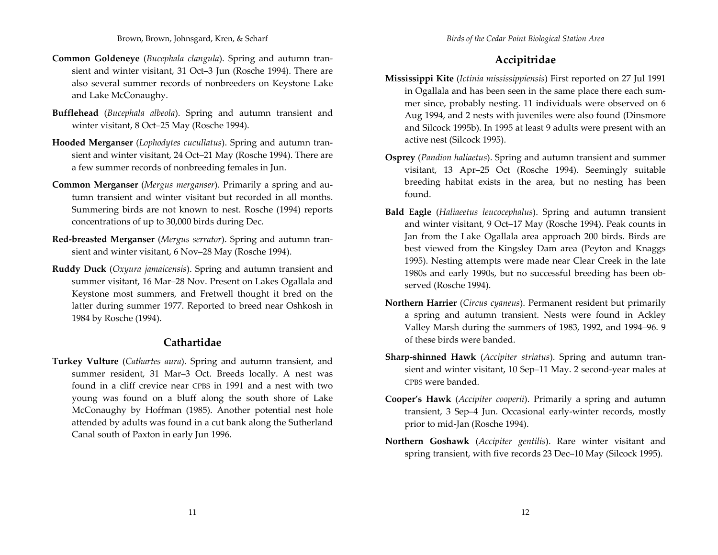- **Common Goldeneye** (*Bucephala clangula*). Spring and autumn tran‐ sient and winter visitant, 31 Oct–3 Jun (Rosche 1994). There are also several summer records of nonbreeders on Keystone Lake and Lake McConaughy.
- **Bufflehead** (*Bucephala albeola*). Spring and autumn transient and winter visitant, <sup>8</sup> Oct–25 May (Rosche 1994).
- **Hooded Merganser** (*Lophodytes cucullatus*). Spring and autumn tran‐ sient and winter visitant, <sup>24</sup> Oct–21 May (Rosche 1994). There are a few summer records of nonbreeding females in Jun.
- **Common Merganser** (*Mergus merganser*). Primarily <sup>a</sup> spring and au‐ tumn transient and winter visitant but recorded in all months. Summering birds are not known to nest. Rosche (1994) reports concentrations of up to 30,000 birds during Dec.
- **Red‐breasted Merganser** (*Mergus serrator*). Spring and autumn tran‐ sient and winter visitant, 6 Nov–28 May (Rosche 1994).
- **Ruddy Duck** (*Oxyura jamaicensis*). Spring and autumn transient and summer visitant, 16 Mar–28 Nov. Present on Lakes Ogallala and Keystone most summers, and Fretwell thought it bred on the latter during summer 1977. Reported to breed near Oshkosh in 1984 by Rosche (1994).

## **Cathartidae**

**Turkey Vulture** (*Cathartes aura*). Spring and autumn transient, and summer resident, 31 Mar–3 Oct. Breeds locally. A nest was found in <sup>a</sup> cliff crevice near CPBS in 1991 and <sup>a</sup> nest with two young was found on <sup>a</sup> bluff along the south shore of Lake McConaughy by Hoffman (1985). Another potential nest hole attended by adults was found in <sup>a</sup> cut bank along the Sutherland Canal south of Paxton in early Jun 1996.

# **Accipitridae**

- **Mississippi Kite** (*Ictinia mississippiensis*) First reported on <sup>27</sup> Jul 1991 in Ogallala and has been seen in the same place there each sum‐ mer since, probably nesting. <sup>11</sup> individuals were observed on 6 Aug 1994, and <sup>2</sup> nests with juveniles were also found (Dinsmore and Silcock 1995b). In 1995 at least 9 adults were presen<sup>t</sup> with an active nest (Silcock 1995).
- **Osprey** (*Pandion haliaetus*). Spring and autumn transient and summer visitant, 13 Apr–25 Oct (Rosche 1994). Seemingly suitable breeding habitat exists in the area, but no nesting has been found.
- **Bald Eagle** (*Haliaeetus leucocephalus*). Spring and autumn transient and winter visitant, 9 Oct–17 May (Rosche 1994). Peak counts in Jan from the Lake Ogallala area approach 200 birds. Birds are best viewed from the Kingsley Dam area (Peyton and Knaggs 1995). Nesting attempts were made near Clear Creek in the late 1980s and early 1990s, but no successful breeding has been ob‐ served (Rosche 1994).
- **Northern Harrier** (*Circus cyaneus*). Permanent resident but primarily a spring and autumn transient. Nests were found in Ackley Valley Marsh during the summers of 1983, 1992, and 1994–96. 9 of these birds were banded.
- **Sharp‐shinned Hawk** (*Accipiter striatus*). Spring and autumn tran‐ sient and winter visitant, 10 Sep–11 May. <sup>2</sup> second‐year males at CPBS were banded.
- **Cooper's Hawk** (*Accipiter cooperii*). Primarily <sup>a</sup> spring and autumn transient, 3 Sep–4 Jun. Occasional early‐winter records, mostly prior to mid‐Jan (Rosche 1994).
- **Northern Goshawk** (*Accipiter gentilis*). Rare winter visitant and spring transient, with five records 23 Dec–10 May (Silcock 1995).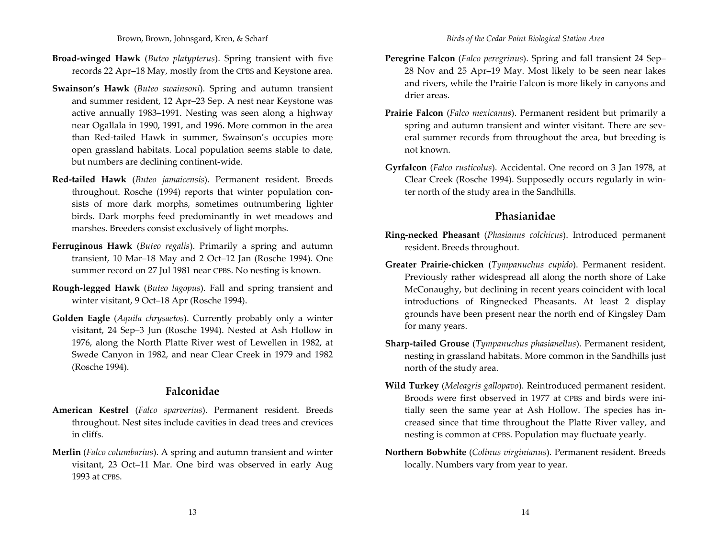- **Broad‐winged Hawk** (*Buteo platypterus*). Spring transient with five records 22 Apr–18 May, mostly from the CPBS and Keystone area.
- **Swainson's Hawk** (*Buteo swainsoni*). Spring and autumn transient and summer resident, <sup>12</sup> Apr–23 Sep. A nest near Keystone was active annually 1983–1991. Nesting was seen along <sup>a</sup> highway near Ogallala in 1990, 1991, and 1996. More common in the area than Red‐tailed Hawk in summer, Swainson's occupies more open grassland habitats. Local population seems stable to date, but numbers are declining continent‐wide.
- **Red‐tailed Hawk** (*Buteo jamaicensis*). Permanent resident. Breeds throughout. Rosche (1994) reports that winter population consists of more dark morphs, sometimes outnumbering lighter birds. Dark morphs feed predominantly in wet meadows and marshes. Breeders consist exclusively of light morphs.
- **Ferruginous Hawk** (*Buteo regalis*). Primarily <sup>a</sup> spring and autumn transient, 10 Mar–18 May and <sup>2</sup> Oct–12 Jan (Rosche 1994). One summer record on <sup>27</sup> Jul 1981 near CPBS. No nesting is known.
- **Rough‐legged Hawk** (*Buteo lagopus*). Fall and spring transient and winter visitant, 9 Oct–18 Apr (Rosche 1994).
- **Golden Eagle** (*Aquila chrysaetos*). Currently probably only <sup>a</sup> winter visitant, <sup>24</sup> Sep–3 Jun (Rosche 1994). Nested at Ash Hollow in 1976, along the North Platte River west of Lewellen in 1982, at Swede Canyon in 1982, and near Clear Creek in 1979 and 1982 (Rosche 1994).

## **Falconidae**

- **American Kestrel** (*Falco sparverius*). Permanent resident. Breeds throughout. Nest sites include cavities in dead trees and crevices in cliffs.
- **Merlin** (*Falco columbarius*). A spring and autumn transient and winter visitant, 23 Oct–11 Mar. One bird was observed in early Aug 1993 at CPBS.
- **Peregrine Falcon** (*Falco peregrinus*). Spring and fall transient <sup>24</sup> Sep– 28 Nov and <sup>25</sup> Apr–19 May. Most likely to be seen near lakes and rivers, while the Prairie Falcon is more likely in canyons and drier areas.
- **Prairie Falcon** (*Falco mexicanus*). Permanent resident but primarily <sup>a</sup> spring and autumn transient and winter visitant. There are several summer records from throughout the area, but breeding is not known.
- **Gyrfalcon** (*Falco rusticolus*). Accidental. One record on 3 Jan 1978, at Clear Creek (Rosche 1994). Supposedly occurs regularly in win‐ ter north of the study area in the Sandhills.

# **Phasianidae**

- **Ring‐necked Pheasant** (*Phasianus colchicus*). Introduced permanen<sup>t</sup> resident. Breeds throughout.
- **Greater Prairie‐chicken** (*Tympanuchus cupido*). Permanent resident. Previously rather widespread all along the north shore of Lake McConaughy, but declining in recent years coincident with local introductions of Ringnecked Pheasants. At least <sup>2</sup> display grounds have been presen<sup>t</sup> near the north end of Kingsley Dam for many years.
- **Sharp‐tailed Grouse** (*Tympanuchus phasianellus*). Permanent resident, nesting in grassland habitats. More common in the Sandhills just north of the study area.
- **Wild Turkey** (*Meleagris gallopavo*). Reintroduced permanen<sup>t</sup> resident. Broods were first observed in 1977 at CPBS and birds were ini‐ tially seen the same year at Ash Hollow. The species has in‐ creased since that time throughout the Platte River valley, and nesting is common at CPBS. Population may fluctuate yearly.
- **Northern Bobwhite** (*Colinus virginianus*). Permanent resident. Breeds locally. Numbers vary from year to year.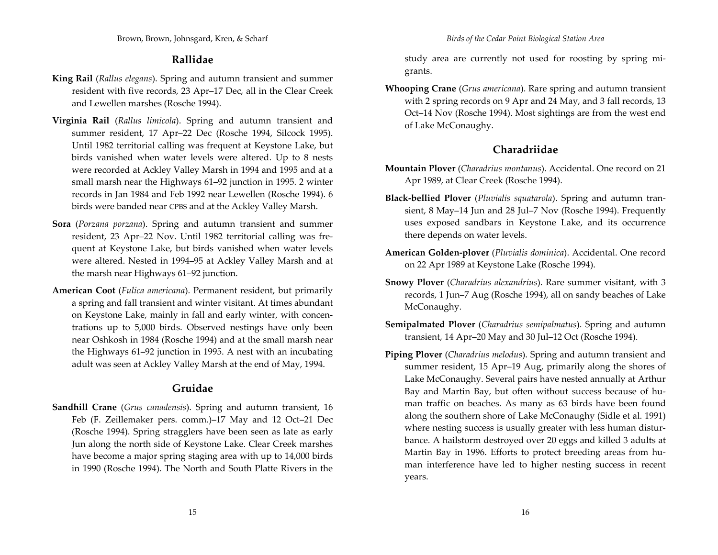### **Rallidae**

- **King Rail** (*Rallus elegans*). Spring and autumn transient and summer resident with five records, 23 Apr–17 Dec, all in the Clear Creek and Lewellen marshes (Rosche 1994).
- **Virginia Rail** (*Rallus limicola*). Spring and autumn transient and summer resident, <sup>17</sup> Apr–22 Dec (Rosche 1994, Silcock 1995). Until 1982 territorial calling was frequent at Keystone Lake, but birds vanished when water levels were altered. Up to <sup>8</sup> nests were recorded at Ackley Valley Marsh in 1994 and 1995 and at <sup>a</sup> small marsh near the Highways 61–92 junction in 1995. <sup>2</sup> winter records in Jan 1984 and Feb 1992 near Lewellen (Rosche 1994). 6 birds were banded near CPBS and at the Ackley Valley Marsh.
- **Sora** (*Porzana porzana*). Spring and autumn transient and summer resident, 23 Apr–22 Nov. Until 1982 territorial calling was fre‐ quen<sup>t</sup> at Keystone Lake, but birds vanished when water levels were altered. Nested in 1994–95 at Ackley Valley Marsh and at the marsh near Highways 61–92 junction.
- **American Coot** (*Fulica americana*). Permanent resident, but primarily a spring and fall transient and winter visitant. At times abundant on Keystone Lake, mainly in fall and early winter, with concen‐ trations up to 5,000 birds. Observed nestings have only been near Oshkosh in 1984 (Rosche 1994) and at the small marsh near the Highways 61–92 junction in 1995. A nest with an incubating adult was seen at Ackley Valley Marsh at the end of May, 1994.

## **Gruidae**

**Sandhill Crane** (*Grus canadensis*). Spring and autumn transient, 16 Feb (F. Zeillemaker pers. comm.)–17 May and <sup>12</sup> Oct–21 Dec (Rosche 1994). Spring stragglers have been seen as late as early Jun along the north side of Keystone Lake. Clear Creek marshes have become <sup>a</sup> major spring staging area with up to 14,000 birds in 1990 (Rosche 1994). The North and South Platte Rivers in the

study area are currently not used for roosting by spring mi‐ grants.

**Whooping Crane** (*Grus americana*). Rare spring and autumn transient with <sup>2</sup> spring records on 9 Apr and <sup>24</sup> May, and 3 fall records, 13 Oct–14 Nov (Rosche 1994). Most sightings are from the west end of Lake McConaughy.

# **Charadriidae**

- **Mountain Plover** (*Charadrius montanus*). Accidental. One record on 21 Apr 1989, at Clear Creek (Rosche 1994).
- **Black‐bellied Plover** (*Pluvialis squatarola*). Spring and autumn tran‐ sient, <sup>8</sup> May–14 Jun and <sup>28</sup> Jul–7 Nov (Rosche 1994). Frequently uses exposed sandbars in Keystone Lake, and its occurrence there depends on water levels.
- **American Golden‐plover** (*Pluvialis dominica*). Accidental. One record on <sup>22</sup> Apr 1989 at Keystone Lake (Rosche 1994).
- **Snowy Plover** (*Charadrius alexandrius*). Rare summer visitant, with 3 records, <sup>1</sup> Jun–7 Aug (Rosche 1994), all on sandy beaches of Lake McConaughy.
- **Semipalmated Plover** (*Charadrius semipalmatus*). Spring and autumn transient, <sup>14</sup> Apr–20 May and 30 Jul–12 Oct (Rosche 1994).
- **Piping Plover** (*Charadrius melodus*). Spring and autumn transient and summer resident, 15 Apr–19 Aug, primarily along the shores of Lake McConaughy. Several pairs have nested annually at Arthur Bay and Martin Bay, but often without success because of human traffic on beaches. As many as 63 birds have been found along the southern shore of Lake McConaughy (Sidle et al. 1991) where nesting success is usually greater with less human distur‐ bance. A hailstorm destroyed over 20 eggs and killed 3 adults at Martin Bay in 1996. Efforts to protect breeding areas from hu‐ man interference have led to higher nesting success in recent years.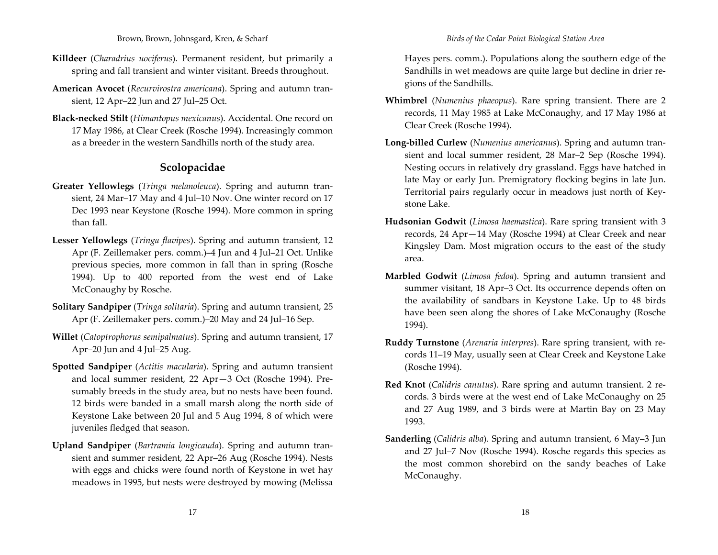- **Killdeer** (*Charadrius uociferus*). Permanent resident, but primarily <sup>a</sup> spring and fall transient and winter visitant. Breeds throughout.
- **American Avocet** (*Recurvirostra americana*). Spring and autumn tran‐ sient, <sup>12</sup> Apr–22 Jun and <sup>27</sup> Jul–25 Oct.
- **Black‐necked Stilt** (*Himantopus mexicanus*). Accidental. One record on 17 May 1986, at Clear Creek (Rosche 1994). Increasingly common as a breeder in the western Sandhills north of the study area.

# **Scolopacidae**

- **Greater Yellowlegs** (*Tringa melanoleuca*). Spring and autumn tran‐ sient, <sup>24</sup> Mar–17 May and 4 Jul–10 Nov. One winter record on 17 Dec 1993 near Keystone (Rosche 1994). More common in spring than fall.
- **Lesser Yellowlegs** (*Tringa flavipes*). Spring and autumn transient, <sup>12</sup> Apr (F. Zeillemaker pers. comm.)–4 Jun and 4 Jul–21 Oct. Unlike previous species, more common in fall than in spring (Rosche 1994). Up to 400 reported from the west end of Lake McConaughy by Rosche.
- **Solitary Sandpiper** (*Tringa solitaria*). Spring and autumn transient, <sup>25</sup> Apr (F. Zeillemaker pers. comm.)–20 May and <sup>24</sup> Jul–16 Sep.
- **Willet** (*Catoptrophorus semipalmatus*). Spring and autumn transient, <sup>17</sup> Apr–20 Jun and 4 Jul–25 Aug.
- **Spotted Sandpiper** (*Actitis macularia*). Spring and autumn transient and local summer resident, <sup>22</sup> Apr—3 Oct (Rosche 1994). Pre‐ sumably breeds in the study area, but no nests have been found. 12 birds were banded in <sup>a</sup> small marsh along the north side of Keystone Lake between 20 Jul and <sup>5</sup> Aug 1994, <sup>8</sup> of which were juveniles fledged that season.
- **Upland Sandpiper** (*Bartramia longicauda*). Spring and autumn tran‐ sient and summer resident, <sup>22</sup> Apr–26 Aug (Rosche 1994). Nests with eggs and chicks were found north of Keystone in wet hay meadows in 1995, but nests were destroyed by mowing (Melissa

Hayes pers. comm.). Populations along the southern edge of the Sandhills in wet meadows are quite large but decline in drier re‐ gions of the Sandhills.

- **Whimbrel** (*Numenius phaeopus*). Rare spring transient. There are <sup>2</sup> records, <sup>11</sup> May 1985 at Lake McConaughy, and <sup>17</sup> May 1986 at Clear Creek (Rosche 1994).
- **Long‐billed Curlew** (*Numenius americanus*). Spring and autumn tran‐ sient and local summer resident, <sup>28</sup> Mar–2 Sep (Rosche 1994). Nesting occurs in relatively dry grassland. Eggs have hatched in late May or early Jun. Premigratory flocking begins in late Jun. Territorial pairs regularly occur in meadows just north of Key‐ stone Lake.
- **Hudsonian Godwit** (*Limosa haemastica*). Rare spring transient with <sup>3</sup> records, <sup>24</sup> Apr—14 May (Rosche 1994) at Clear Creek and near Kingsley Dam. Most migration occurs to the east of the study area.
- **Marbled Godwit** (*Limosa fedoa*). Spring and autumn transient and summer visitant, 18 Apr–3 Oct. Its occurrence depends often on the availability of sandbars in Keystone Lake. Up to 48 birds have been seen along the shores of Lake McConaughy (Rosche 1994).
- **Ruddy Turnstone** (*Arenaria interpres*). Rare spring transient, with re‐ cords 11–19 May, usually seen at Clear Creek and Keystone Lake (Rosche 1994).
- **Red Knot** (*Calidris canutus*). Rare spring and autumn transient. <sup>2</sup> re‐ cords. 3 birds were at the west end of Lake McConaughy on 25 and <sup>27</sup> Aug 1989, and 3 birds were at Martin Bay on 23 May 1993.
- **Sanderling** (*Calidris alba*). Spring and autumn transient, 6 May–3 Jun and <sup>27</sup> Jul–7 Nov (Rosche 1994). Rosche regards this species as the most common shorebird on the sandy beaches of Lake McConaughy.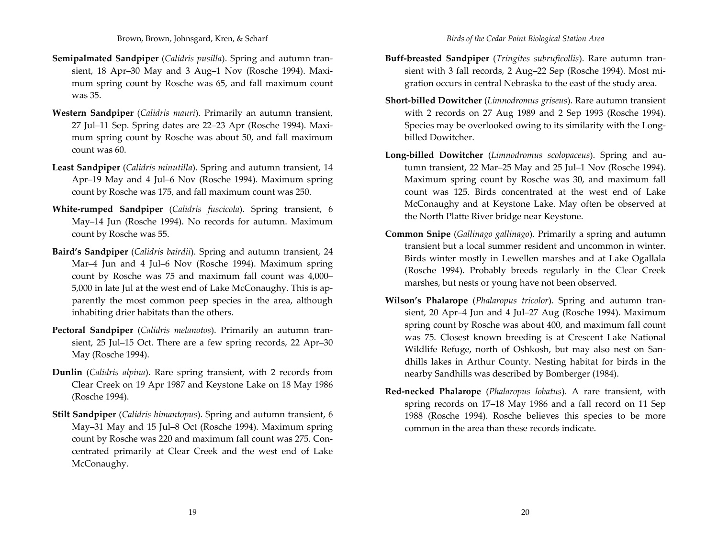- **Semipalmated Sandpiper** (*Calidris pusilla*). Spring and autumn tran‐ sient, 18 Apr-30 May and 3 Aug-1 Nov (Rosche 1994). Maximum spring count by Rosche was 65, and fall maximum count was 35.
- **Western Sandpiper** (*Calidris mauri*). Primarily an autumn transient, 27 Jul–11 Sep. Spring dates are 22–23 Apr (Rosche 1994). Maxi‐ mum spring count by Rosche was about 50, and fall maximum count was 60.
- **Least Sandpiper** (*Calidris minutilla*). Spring and autumn transient, <sup>14</sup> Apr–19 May and <sup>4</sup> Jul–6 Nov (Rosche 1994). Maximum spring count by Rosche was 175, and fall maximum count was 250.
- **White‐rumped Sandpiper** (*Calidris fuscicola*). Spring transient, 6 May–14 Jun (Rosche 1994). No records for autumn. Maximum count by Rosche was 55.
- **Baird's Sandpiper** (*Calidris bairdii*). Spring and autumn transient, <sup>24</sup> Mar–4 Jun and <sup>4</sup> Jul–6 Nov (Rosche 1994). Maximum spring count by Rosche was <sup>75</sup> and maximum fall count was 4,000– 5,000 in late Jul at the west end of Lake McConaughy. This is ap‐ parently the most common peep species in the area, although inhabiting drier habitats than the others.
- **Pectoral Sandpiper** (*Calidris melanotos*). Primarily an autumn tran‐ sient, <sup>25</sup> Jul–15 Oct. There are <sup>a</sup> few spring records, <sup>22</sup> Apr–30 May (Rosche 1994).
- **Dunlin** (*Calidris alpina*). Rare spring transient, with <sup>2</sup> records from Clear Creek on 19 Apr 1987 and Keystone Lake on 18 May 1986 (Rosche 1994).
- **Stilt Sandpiper** (*Calidris himantopus*). Spring and autumn transient, 6 May–31 May and 15 Jul–8 Oct (Rosche 1994). Maximum spring count by Rosche was 220 and maximum fall count was 275. Con‐ centrated primarily at Clear Creek and the west end of Lake McConaughy.
- **Buff‐breasted Sandpiper** (*Tringites subruficollis*). Rare autumn tran‐ sient with 3 fall records, <sup>2</sup> Aug–22 Sep (Rosche 1994). Most mi‐ gration occurs in central Nebraska to the east of the study area.
- **Short‐billed Dowitcher** (*Limnodromus griseus*). Rare autumn transient with <sup>2</sup> records on <sup>27</sup> Aug 1989 and <sup>2</sup> Sep 1993 (Rosche 1994). Species may be overlooked owing to its similarity with the Long‐ billed Dowitcher.
- **Long‐billed Dowitcher** (*Limnodromus scolopaceus*). Spring and au‐ tumn transient, <sup>22</sup> Mar–25 May and 25 Jul–1 Nov (Rosche 1994). Maximum spring count by Rosche was 30, and maximum fall count was 125. Birds concentrated at the west end of Lake McConaughy and at Keystone Lake. May often be observed at the North Platte River bridge near Keystone.
- **Common Snipe** (*Gallinago gallinago*). Primarily <sup>a</sup> spring and autumn transient but <sup>a</sup> local summer resident and uncommon in winter. Birds winter mostly in Lewellen marshes and at Lake Ogallala (Rosche 1994). Probably breeds regularly in the Clear Creek marshes, but nests or young have not been observed.
- **Wilson's Phalarope** (*Phalaropus tricolor*). Spring and autumn tran‐ sient, 20 Apr–4 Jun and <sup>4</sup> Jul–27 Aug (Rosche 1994). Maximum spring count by Rosche was about 400, and maximum fall count was 75. Closest known breeding is at Crescent Lake National Wildlife Refuge, north of Oshkosh, but may also nest on San‐ dhills lakes in Arthur County. Nesting habitat for birds in the nearby Sandhills was described by Bomberger (1984).
- **Red‐necked Phalarope** (*Phalaropus lobatus*). A rare transient, with spring records on 17–18 May 1986 and <sup>a</sup> fall record on <sup>11</sup> Sep 1988 (Rosche 1994). Rosche believes this species to be more common in the area than these records indicate.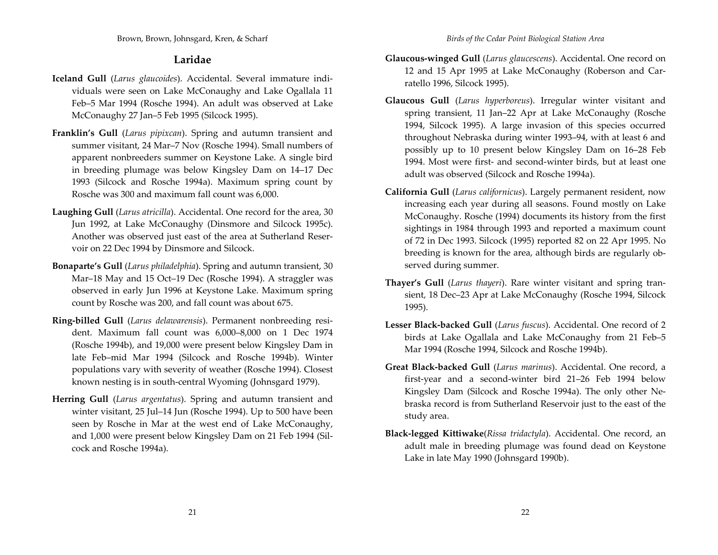# **Laridae**

- **Iceland Gull** (*Larus glaucoides*). Accidental. Several immature indi‐ viduals were seen on Lake McConaughy and Lake Ogallala <sup>11</sup> Feb–5 Mar 1994 (Rosche 1994). An adult was observed at Lake McConaughy <sup>27</sup> Jan–5 Feb 1995 (Silcock 1995).
- **Franklin's Gull** (*Larus pipixcan*). Spring and autumn transient and summer visitant, 24 Mar–7 Nov (Rosche 1994). Small numbers of apparen<sup>t</sup> nonbreeders summer on Keystone Lake. A single bird in breeding plumage was below Kingsley Dam on 14–17 Dec 1993 (Silcock and Rosche 1994a). Maximum spring count by Rosche was 300 and maximum fall count was 6,000.
- **Laughing Gull** (*Larus atricilla*). Accidental. One record for the area, 30 Jun 1992, at Lake McConaughy (Dinsmore and Silcock 1995c). Another was observed just east of the area at Sutherland Reser‐ voir on <sup>22</sup> Dec 1994 by Dinsmore and Silcock.
- **Bonaparte's Gull** (*Larus philadelphia*). Spring and autumn transient, 30 Mar–18 May and 15 Oct–19 Dec (Rosche 1994). A straggler was observed in early Jun 1996 at Keystone Lake. Maximum spring count by Rosche was 200, and fall count was about 675.
- **Ring‐billed Gull** (*Larus delawarensis*). Permanent nonbreeding resi‐ dent. Maximum fall count was 6,000–8,000 on 1 Dec 1974 (Rosche 1994b), and 19,000 were presen<sup>t</sup> below Kingsley Dam in late Feb–mid Mar 1994 (Silcock and Rosche 1994b). Winter populations vary with severity of weather (Rosche 1994). Closest known nesting is in south‐central Wyoming (Johnsgard 1979).
- **Herring Gull** (*Larus argentatus*). Spring and autumn transient and winter visitant, <sup>25</sup> Jul–14 Jun (Rosche 1994). Up to 500 have been seen by Rosche in Mar at the west end of Lake McConaughy, and 1,000 were presen<sup>t</sup> below Kingsley Dam on <sup>21</sup> Feb 1994 (Sil‐ cock and Rosche 1994a).
- **Glaucous‐winged Gull** (*Larus glaucescens*). Accidental. One record on 12 and 15 Apr 1995 at Lake McConaughy (Roberson and Car‐ ratello 1996, Silcock 1995).
- **Glaucous Gull** (*Larus hyperboreus*). Irregular winter visitant and spring transient, <sup>11</sup> Jan–22 Apr at Lake McConaughy (Rosche 1994, Silcock 1995). A large invasion of this species occurred throughout Nebraska during winter 1993–94, with at least 6 and possibly up to 10 presen<sup>t</sup> below Kingsley Dam on 16–28 Feb 1994. Most were first‐ and second‐winter birds, but at least one adult was observed (Silcock and Rosche 1994a).
- **California Gull** (*Larus californicus*). Largely permanen<sup>t</sup> resident, now increasing each year during all seasons. Found mostly on Lake McConaughy. Rosche (1994) documents its history from the first sightings in 1984 through 1993 and reported <sup>a</sup> maximum count of 72 in Dec 1993. Silcock (1995) reported <sup>82</sup> on <sup>22</sup> Apr 1995. No breeding is known for the area, although birds are regularly ob‐ served during summer.
- **Thayer's Gull** (*Larus thayeri*). Rare winter visitant and spring tran‐ sient, 18 Dec–23 Apr at Lake McConaughy (Rosche 1994, Silcock 1995).
- **Lesser Black‐backed Gull** (*Larus fuscus*). Accidental. One record of <sup>2</sup> birds at Lake Ogallala and Lake McConaughy from <sup>21</sup> Feb–5 Mar 1994 (Rosche 1994, Silcock and Rosche 1994b).
- **Great Black‐backed Gull** (*Larus marinus*). Accidental. One record, <sup>a</sup> first‐year and <sup>a</sup> second‐winter bird 21–26 Feb 1994 below Kingsley Dam (Silcock and Rosche 1994a). The only other Ne‐ braska record is from Sutherland Reservoir just to the east of the study area.
- **Black‐legged Kittiwake**(*Rissa tridactyla*). Accidental. One record, an adult male in breeding plumage was found dead on Keystone Lake in late May 1990 (Johnsgard 1990b).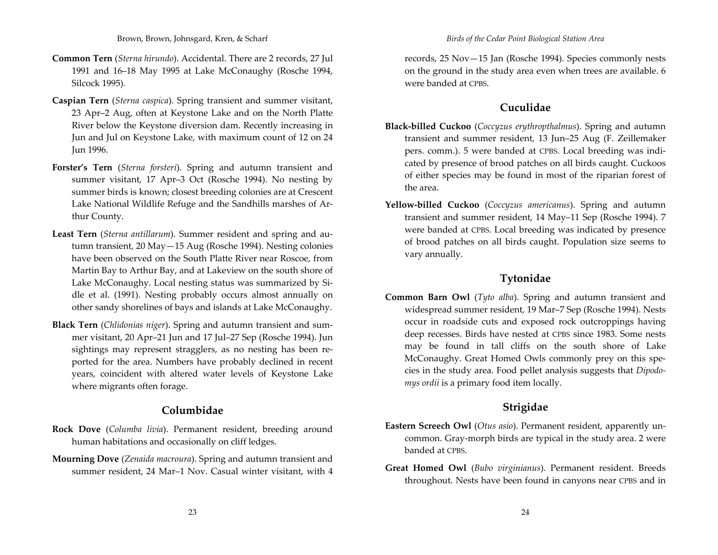- **Common Tern** (*Sterna hirundo*). Accidental. There are 2 records, 27 Jul 1991 and 16–18 May 1995 at Lake McConaughy (Rosche 1994, Silcock 1995).
- **Caspian Tern** (*Sterna caspica*). Spring transient and summer visitant, 23 Apr–2 Aug, often at Keystone Lake and on the North Platte River below the Keystone diversion dam. Recently increasing in Jun and Jul on Keystone Lake, with maximum count of <sup>12</sup> on <sup>24</sup> Jun 1996.
- **Forster's Tern** (*Sterna forsteri*). Spring and autumn transient and summer visitant, <sup>17</sup> Apr–3 Oct (Rosche 1994). No nesting by summer birds is known; closest breeding colonies are at Crescent Lake National Wildlife Refuge and the Sandhills marshes of Ar‐ thur County.
- **Least Tern** (*Sterna antillarum*). Summer resident and spring and au‐ tumn transient, 20 May—15 Aug (Rosche 1994). Nesting colonies have been observed on the South Platte River near Roscoe, from Martin Bay to Arthur Bay, and at Lakeview on the south shore of Lake McConaughy. Local nesting status was summarized by Si‐ dle et al. (1991). Nesting probably occurs almost annually on other sandy shorelines of bays and islands at Lake McConaughy.
- **Black Tern** (*Chlidonias niger*). Spring and autumn transient and sum‐ mer visitant, 20 Apr–21 Jun and <sup>17</sup> Jul–27 Sep (Rosche 1994). Jun sightings may represen<sup>t</sup> stragglers, as no nesting has been re‐ ported for the area. Numbers have probably declined in recent years, coincident with altered water levels of Keystone Lake where migrants often forage.

## **Columbidae**

- **Rock Dove** (*Columba livia*). Permanent resident, breeding around human habitations and occasionally on cliff ledges.
- **Mourning Dove** (*Zenaida macroura*). Spring and autumn transient and summer resident, 24 Mar–1 Nov. Casual winter visitant, with 4

records, 25 Nov—15 Jan (Rosche 1994). Species commonly nests on the ground in the study area even when trees are available. 6 were banded at CPBS.

# **Cuculidae**

- **Black‐billed Cuckoo** (*Coccyzus erythropthalmus*). Spring and autumn transient and summer resident, 13 Jun–25 Aug (F. Zeillemaker pers. comm.). 5 were banded at CPBS. Local breeding was indicated by presence of brood patches on all birds caught. Cuckoos of either species may be found in most of the riparian forest of the area.
- **Yellow‐billed Cuckoo** (*Coccyzus americanus*). Spring and autumn transient and summer resident, <sup>14</sup> May–11 Sep (Rosche 1994). <sup>7</sup> were banded at CPBS. Local breeding was indicated by presence of brood patches on all birds caught. Population size seems to vary annually.

# **Tytonidae**

**Common Barn Owl** (*Tyto alba*). Spring and autumn transient and widespread summer resident, 19 Mar–7 Sep (Rosche 1994). Nests occur in roadside cuts and exposed rock outcroppings having deep recesses. Birds have nested at CPBS since 1983. Some nests may be found in tall cliffs on the south shore of Lake McConaughy. Great Homed Owls commonly prey on this species in the study area. Food pellet analysis suggests that *Dipodo‐ mys ordii* is <sup>a</sup> primary food item locally.

# **Strigidae**

- **Eastern Screech Owl** (*Otus asio*). Permanent resident, apparently un‐ common. Gray‐morph birds are typical in the study area. <sup>2</sup> were banded at CPBS.
- **Great Homed Owl** (*Bubo virginianus*). Permanent resident. Breeds throughout. Nests have been found in canyons near CPBS and in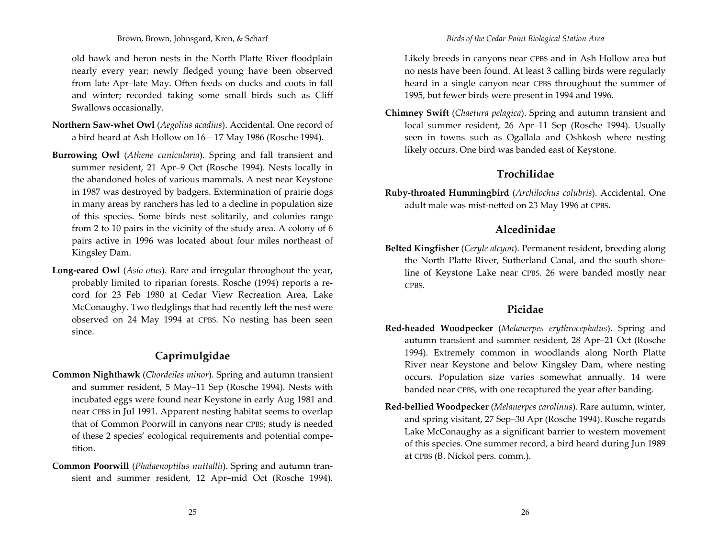old hawk and heron nests in the North Platte River floodplain nearly every year; newly fledged young have been observed from late Apr–late May. Often feeds on ducks and coots in fall and winter; recorded taking some small birds such as Cliff Swallows occasionally.

- **Northern Saw‐whet Owl** (*Aegolius acadius*). Accidental. One record of a bird heard at Ash Hollow on 16—17 May 1986 (Rosche 1994).
- **Burrowing Owl** (*Athene cunicularia*). Spring and fall transient and summer resident, <sup>21</sup> Apr–9 Oct (Rosche 1994). Nests locally in the abandoned holes of various mammals. A nest near Keystone in 1987 was destroyed by badgers. Extermination of prairie dogs in many areas by ranchers has led to <sup>a</sup> decline in population size of this species. Some birds nest solitarily, and colonies range from <sup>2</sup> to 10 pairs in the vicinity of the study area. A colony of 6 pairs active in 1996 was located about four miles northeast of Kingsley Dam.
- **Long‐eared Owl** (*Asio otus*). Rare and irregular throughout the year, probably limited to riparian forests. Rosche (1994) reports <sup>a</sup> re‐ cord for 23 Feb 1980 at Cedar View Recreation Area, Lake McConaughy. Two fledglings that had recently left the nest were observed on <sup>24</sup> May 1994 at CPBS. No nesting has been seen since.

# **Caprimulgidae**

- **Common Nighthawk** (*Chordeiles minor*). Spring and autumn transient and summer resident, <sup>5</sup> May–11 Sep (Rosche 1994). Nests with incubated eggs were found near Keystone in early Aug 1981 and near CPBS in Jul 1991. Apparent nesting habitat seems to overlap that of Common Poorwill in canyons near CPBS; study is needed of these 2 species' ecological requirements and potential compe‐ tition.
- **Common Poorwill** (*Phalaenoptilus nuttallii*). Spring and autumn tran‐ sient and summer resident, <sup>12</sup> Apr–mid Oct (Rosche 1994).

Likely breeds in canyons near CPBS and in Ash Hollow area but no nests have been found. At least 3 calling birds were regularly heard in <sup>a</sup> single canyon near CPBS throughout the summer of 1995, but fewer birds were presen<sup>t</sup> in 1994 and 1996.

**Chimney Swift** (*Chaetura pelagica*). Spring and autumn transient and local summer resident, 26 Apr–11 Sep (Rosche 1994). Usually seen in towns such as Ogallala and Oshkosh where nesting likely occurs. One bird was banded east of Keystone.

# **Trochilidae**

**Ruby‐throated Hummingbird** (*Archilochus colubris*). Accidental. One adult male was mist‐netted on 23 May 1996 at CPBS.

# **Alcedinidae**

**Belted Kingfisher** (*Ceryle alcyon*). Permanent resident, breeding along the North Platte River, Sutherland Canal, and the south shore‐ line of Keystone Lake near CPBS. 26 were banded mostly near CPBS.

# **Picidae**

- **Red‐headed Woodpecker** (*Melanerpes erythrocephalus*). Spring and autumn transient and summer resident, <sup>28</sup> Apr–21 Oct (Rosche 1994). Extremely common in woodlands along North Platte River near Keystone and below Kingsley Dam, where nesting occurs. Population size varies somewhat annually. <sup>14</sup> were banded near CPBS, with one recaptured the year after banding.
- **Red‐bellied Woodpecker** (*Melanerpes carolinus*). Rare autumn, winter, and spring visitant, <sup>27</sup> Sep–30 Apr (Rosche 1994). Rosche regards Lake McConaughy as <sup>a</sup> significant barrier to western movement of this species. One summer record, <sup>a</sup> bird heard during Jun 1989 at CPBS (B. Nickol pers. comm.).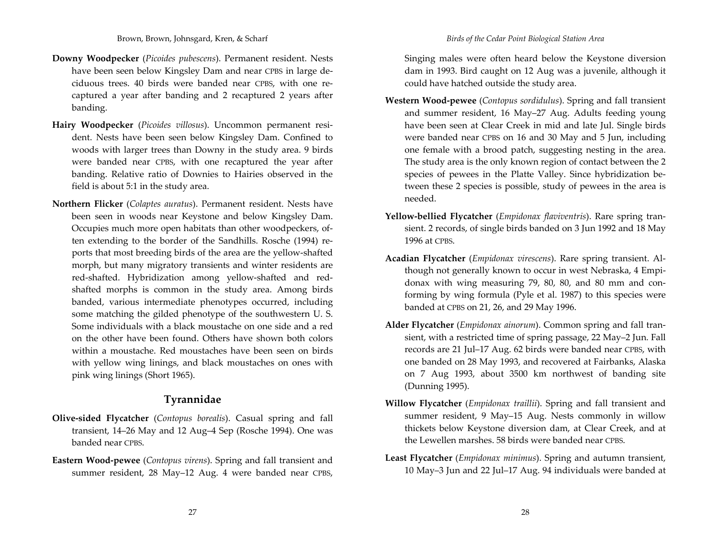- **Downy Woodpecker** (*Picoides pubescens*). Permanent resident. Nests have been seen below Kingsley Dam and near CPBS in large de‐ ciduous trees. 40 birds were banded near CPBS, with one re‐ captured <sup>a</sup> year after banding and <sup>2</sup> recaptured <sup>2</sup> years after banding.
- **Hairy Woodpecker** (*Picoides villosus*). Uncommon permanen<sup>t</sup> resi‐ dent. Nests have been seen below Kingsley Dam. Confined to woods with larger trees than Downy in the study area. 9 birds were banded near CPBS, with one recaptured the year after banding. Relative ratio of Downies to Hairies observed in the field is about 5:1 in the study area.
- **Northern Flicker** (*Colaptes auratus*). Permanent resident. Nests have been seen in woods near Keystone and below Kingsley Dam. Occupies much more open habitats than other woodpeckers, of‐ ten extending to the border of the Sandhills. Rosche (1994) re‐ ports that most breeding birds of the area are the yellow‐shafted morph, but many migratory transients and winter residents are red-shafted. Hybridization among yellow-shafted and redshafted morphs is common in the study area. Among birds banded, various intermediate phenotypes occurred, including some matching the gilded phenotype of the southwestern U. S. Some individuals with <sup>a</sup> black moustache on one side and <sup>a</sup> red on the other have been found. Others have shown both colors within <sup>a</sup> moustache. Red moustaches have been seen on birds with yellow wing linings, and black moustaches on ones with pink wing linings (Short 1965).

#### **Tyrannidae**

- **Olive‐sided Flycatcher** (*Contopus borealis*). Casual spring and fall transient, 14–26 May and <sup>12</sup> Aug–4 Sep (Rosche 1994). One was banded near CPBS.
- **Eastern Wood‐pewee** (*Contopus virens*). Spring and fall transient and summer resident, <sup>28</sup> May–12 Aug. <sup>4</sup> were banded near CPBS,

Singing males were often heard below the Keystone diversion dam in 1993. Bird caught on <sup>12</sup> Aug was <sup>a</sup> juvenile, although it could have hatched outside the study area.

- **Western Wood‐pewee** (*Contopus sordidulus*). Spring and fall transient and summer resident, 16 May–27 Aug. Adults feeding young have been seen at Clear Creek in mid and late Jul. Single birds were banded near CPBS on 16 and 30 May and <sup>5</sup> Jun, including one female with <sup>a</sup> brood patch, suggesting nesting in the area. The study area is the only known region of contact between the <sup>2</sup> species of pewees in the Platte Valley. Since hybridization between these <sup>2</sup> species is possible, study of pewees in the area is needed.
- **Yellow‐bellied Flycatcher** (*Empidonax flaviventris*). Rare spring tran‐ sient. 2 records, of single birds banded on 3 Jun 1992 and 18 May 1996 at CPBS.
- **Acadian Flycatcher** (*Empidonax virescens*). Rare spring transient. Al‐ though not generally known to occur in west Nebraska, <sup>4</sup> Empi‐ donax with wing measuring 79, 80, 80, and 80 mm and con‐ forming by wing formula (Pyle et al. 1987) to this species were banded at CPBS on 21, 26, and 29 May 1996.
- **Alder Flycatcher** (*Empidonax ainorum*). Common spring and fall tran‐ sient, with <sup>a</sup> restricted time of spring passage, <sup>22</sup> May–2 Jun. Fall records are 21 Jul–17 Aug. 62 birds were banded near CPBS, with one banded on <sup>28</sup> May 1993, and recovered at Fairbanks, Alaska on <sup>7</sup> Aug 1993, about 3500 km northwest of banding site (Dunning 1995).
- **Willow Flycatcher** (*Empidonax traillii*). Spring and fall transient and summer resident, 9 May–15 Aug. Nests commonly in willow thickets below Keystone diversion dam, at Clear Creek, and at the Lewellen marshes. 58 birds were banded near CPBS.
- **Least Flycatcher** (*Empidonax minimus*). Spring and autumn transient, 10 May–3 Jun and <sup>22</sup> Jul–17 Aug. 94 individuals were banded at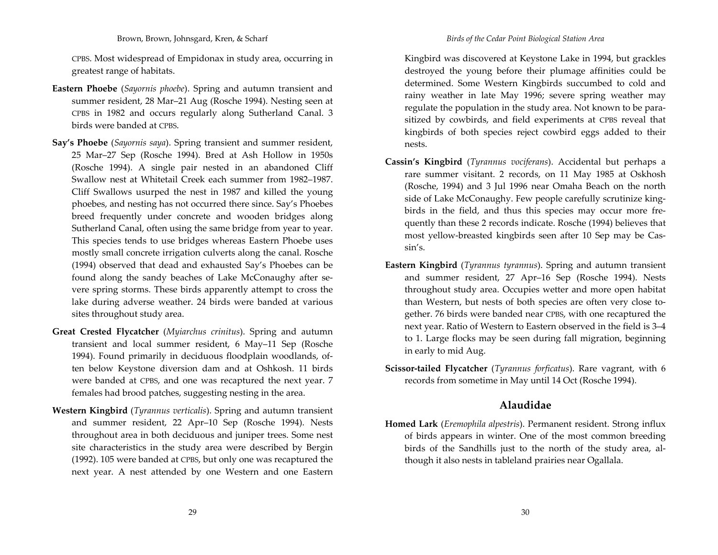CPBS. Most widespread of Empidonax in study area, occurring in greatest range of habitats.

- **Eastern Phoebe** (*Sayornis phoebe*). Spring and autumn transient and summer resident, <sup>28</sup> Mar–21 Aug (Rosche 1994). Nesting seen at CPBS in 1982 and occurs regularly along Sutherland Canal. 3 birds were banded at CPBS.
- **Say's Phoebe** (*Sayornis saya*). Spring transient and summer resident, 25 Mar–27 Sep (Rosche 1994). Bred at Ash Hollow in 1950s (Rosche 1994). A single pair nested in an abandoned Cliff Swallow nest at Whitetail Creek each summer from 1982–1987. Cliff Swallows usurped the nest in 1987 and killed the young phoebes, and nesting has not occurred there since. Say's Phoebes breed frequently under concrete and wooden bridges along Sutherland Canal, often using the same bridge from year to year. This species tends to use bridges whereas Eastern Phoebe uses mostly small concrete irrigation culverts along the canal. Rosche (1994) observed that dead and exhausted Say's Phoebes can be found along the sandy beaches of Lake McConaughy after se‐ vere spring storms. These birds apparently attempt to cross the lake during adverse weather. <sup>24</sup> birds were banded at various sites throughout study area.
- **Great Crested Flycatcher** (*Myiarchus crinitus*). Spring and autumn transient and local summer resident, 6 May–11 Sep (Rosche 1994). Found primarily in deciduous floodplain woodlands, of‐ ten below Keystone diversion dam and at Oshkosh. <sup>11</sup> birds were banded at CPBS, and one was recaptured the next year. <sup>7</sup> females had brood patches, suggesting nesting in the area.
- **Western Kingbird** (*Tyrannus verticalis*). Spring and autumn transient and summer resident, <sup>22</sup> Apr–10 Sep (Rosche 1994). Nests throughout area in both deciduous and juniper trees. Some nest site characteristics in the study area were described by Bergin (1992). 105 were banded at CPBS, but only one was recaptured the next year. A nest attended by one Western and one Eastern

Kingbird was discovered at Keystone Lake in 1994, but grackles destroyed the young before their plumage affinities could be determined. Some Western Kingbirds succumbed to cold and rainy weather in late May 1996; severe spring weather may regulate the population in the study area. Not known to be para‐ sitized by cowbirds, and field experiments at CPBS reveal that kingbirds of both species reject cowbird eggs added to their nests.

- **Cassin's Kingbird** (*Tyrannus vociferans*). Accidental but perhaps <sup>a</sup> rare summer visitant. 2 records, on <sup>11</sup> May 1985 at Oskhosh (Rosche, 1994) and 3 Jul 1996 near Omaha Beach on the north side of Lake McConaughy. Few people carefully scrutinize king‐ birds in the field, and thus this species may occur more fre‐ quently than these <sup>2</sup> records indicate. Rosche (1994) believes that most yellow‐breasted kingbirds seen after 10 Sep may be Cas‐ sin's.
- **Eastern Kingbird** (*Tyrannus tyrannus*). Spring and autumn transient and summer resident, <sup>27</sup> Apr–16 Sep (Rosche 1994). Nests throughout study area. Occupies wetter and more open habitat than Western, but nests of both species are often very close to‐ gether. 76 birds were banded near CPBS, with one recaptured the next year. Ratio of Western to Eastern observed in the field is 3–4 to 1. Large flocks may be seen during fall migration, beginning in early to mid Aug.
- **Scissor‐tailed Flycatcher** (*Tyrannus forficatus*). Rare vagrant, with 6 records from sometime in May until <sup>14</sup> Oct (Rosche 1994).

# **Alaudidae**

**Homed Lark** (*Eremophila alpestris*). Permanent resident. Strong influx of birds appears in winter. One of the most common breeding birds of the Sandhills just to the north of the study area, al‐ though it also nests in tableland prairies near Ogallala.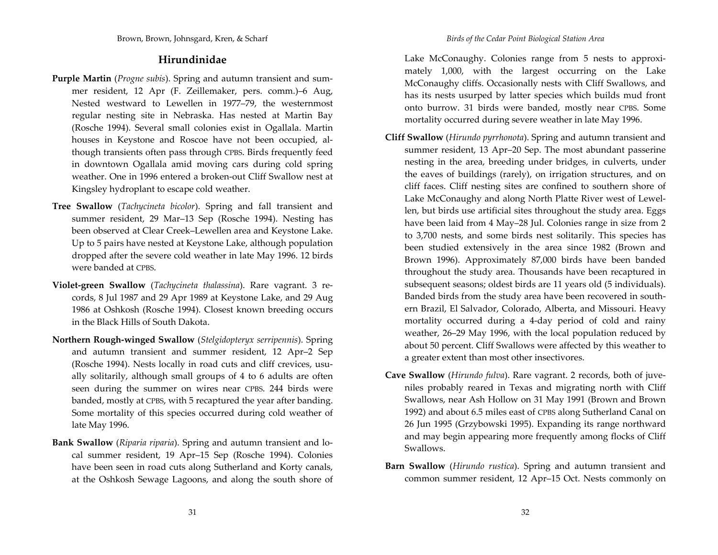# **Hirundinidae**

- **Purple Martin** (*Progne subis*). Spring and autumn transient and sum‐ mer resident, <sup>12</sup> Apr (F. Zeillemaker, pers. comm.)–6 Aug, Nested westward to Lewellen in 1977–79, the westernmost regular nesting site in Nebraska. Has nested at Martin Bay (Rosche 1994). Several small colonies exist in Ogallala. Martin houses in Keystone and Roscoe have not been occupied, al‐ though transients often pass through CPBS. Birds frequently feed in downtown Ogallala amid moving cars during cold spring weather. One in 1996 entered <sup>a</sup> broken‐out Cliff Swallow nest at Kingsley hydroplant to escape cold weather.
- **Tree Swallow** (*Tachycineta bicolor*). Spring and fall transient and summer resident, 29 Mar–13 Sep (Rosche 1994). Nesting has been observed at Clear Creek–Lewellen area and Keystone Lake. Up to <sup>5</sup> pairs have nested at Keystone Lake, although population dropped after the severe cold weather in late May 1996. <sup>12</sup> birds were banded at CPBS.
- **Violet‐green Swallow** (*Tachycineta thalassina*). Rare vagrant. 3 re‐ cords, <sup>8</sup> Jul 1987 and 29 Apr 1989 at Keystone Lake, and 29 Aug 1986 at Oshkosh (Rosche 1994). Closest known breeding occurs in the Black Hills of South Dakota.
- **Northern Rough‐winged Swallow** (*Stelgidopteryx serripennis*). Spring and autumn transient and summer resident, <sup>12</sup> Apr–2 Sep (Rosche 1994). Nests locally in road cuts and cliff crevices, usually solitarily, although small groups of 4 to 6 adults are often seen during the summer on wires near CPBS. <sup>244</sup> birds were banded, mostly at CPBS, with <sup>5</sup> recaptured the year after banding. Some mortality of this species occurred during cold weather of late May 1996.
- **Bank Swallow** (*Riparia riparia*). Spring and autumn transient and lo‐ cal summer resident, 19 Apr–15 Sep (Rosche 1994). Colonies have been seen in road cuts along Sutherland and Korty canals, at the Oshkosh Sewage Lagoons, and along the south shore of

Lake McConaughy. Colonies range from <sup>5</sup> nests to approxi‐ mately 1,000, with the largest occurring on the Lake McConaughy cliffs. Occasionally nests with Cliff Swallows, and has its nests usurped by latter species which builds mud front onto burrow. 31 birds were banded, mostly near CPBS. Some mortality occurred during severe weather in late May 1996.

- **Cliff Swallow** (*Hirundo pyrrhonota*). Spring and autumn transient and summer resident, 13 Apr–20 Sep. The most abundant passerine nesting in the area, breeding under bridges, in culverts, under the eaves of buildings (rarely), on irrigation structures, and on cliff faces. Cliff nesting sites are confined to southern shore of Lake McConaughy and along North Platte River west of Lewel‐ len, but birds use artificial sites throughout the study area. Eggs have been laid from 4 May–28 Jul. Colonies range in size from <sup>2</sup> to 3,700 nests, and some birds nest solitarily. This species has been studied extensively in the area since 1982 (Brown and Brown 1996). Approximately 87,000 birds have been banded throughout the study area. Thousands have been recaptured in subsequent seasons; oldest birds are <sup>11</sup> years old (5 individuals). Banded birds from the study area have been recovered in south‐ ern Brazil, El Salvador, Colorado, Alberta, and Missouri. Heavy mortality occurred during <sup>a</sup> <sup>4</sup>‐day period of cold and rainy weather, 26–29 May 1996, with the local population reduced by about 50 percent. Cliff Swallows were affected by this weather to a greater extent than most other insectivores.
- **Cave Swallow** (*Hirundo fulva*). Rare vagrant. <sup>2</sup> records, both of juve‐ niles probably reared in Texas and migrating north with Cliff Swallows, near Ash Hollow on 31 May 1991 (Brown and Brown 1992) and about 6.5 miles east of CPBS along Sutherland Canal on 26 Jun 1995 (Grzybowski 1995). Expanding its range northward and may begin appearing more frequently among flocks of Cliff Swallows.
- **Barn Swallow** (*Hirundo rustica*). Spring and autumn transient and common summer resident, <sup>12</sup> Apr–15 Oct. Nests commonly on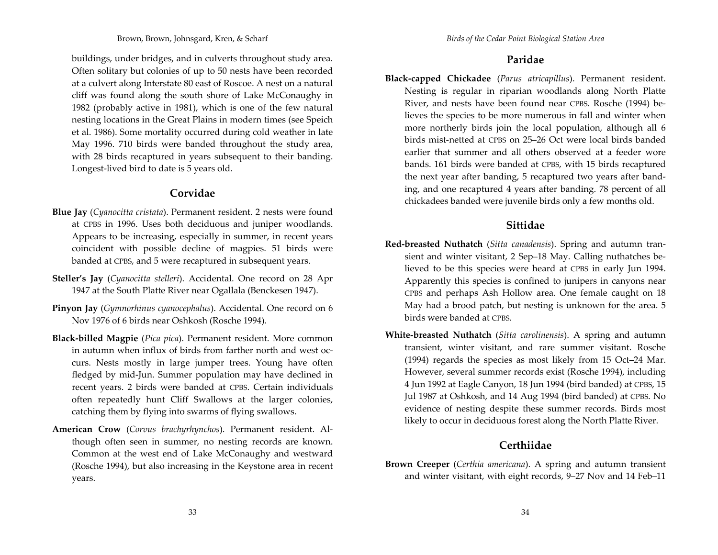buildings, under bridges, and in culverts throughout study area. Often solitary but colonies of up to 50 nests have been recorded at a culvert along Interstate 80 east of Roscoe. A nest on <sup>a</sup> natural cliff was found along the south shore of Lake McConaughy in 1982 (probably active in 1981), which is one of the few natural nesting locations in the Great Plains in modern times (see Speich et al. 1986). Some mortality occurred during cold weather in late May 1996. 710 birds were banded throughout the study area, with <sup>28</sup> birds recaptured in years subsequent to their banding. Longest‐lived bird to date is <sup>5</sup> years old.

## **Corvidae**

- **Blue Jay** (*Cyanocitta cristata*). Permanent resident. <sup>2</sup> nests were found at CPBS in 1996. Uses both deciduous and juniper woodlands. Appears to be increasing, especially in summer, in recent years coincident with possible decline of magpies. 51 birds were banded at CPBS, and <sup>5</sup> were recaptured in subsequent years.
- **Steller's Jay** (*Cyanocitta stelleri*). Accidental. One record on <sup>28</sup> Apr 1947 at the South Platte River near Ogallala (Benckesen 1947).
- **Pinyon Jay** (*Gymnorhinus cyanocephalus*). Accidental. One record on 6 Nov 1976 of 6 birds near Oshkosh (Rosche 1994).
- **Black‐billed Magpie** (*Pica pica*). Permanent resident. More common in autumn when influx of birds from farther north and west oc‐ curs. Nests mostly in large jumper trees. Young have often fledged by mid‐Jun. Summer population may have declined in recent years. <sup>2</sup> birds were banded at CPBS. Certain individuals often repeatedly hunt Cliff Swallows at the larger colonies, catching them by flying into swarms of flying swallows.
- **American Crow** (*Corvus brachyrhynchos*). Permanent resident. Al‐ though often seen in summer, no nesting records are known. Common at the west end of Lake McConaughy and westward (Rosche 1994), but also increasing in the Keystone area in recent years.

# **Paridae**

**Black‐capped Chickadee** (*Parus atricapillus*). Permanent resident. Nesting is regular in riparian woodlands along North Platte River, and nests have been found near CPBS. Rosche (1994) be‐ lieves the species to be more numerous in fall and winter when more northerly birds join the local population, although all 6 birds mist‐netted at CPBS on 25–26 Oct were local birds bandedearlier that summer and all others observed at <sup>a</sup> feeder wore bands. 161 birds were banded at CPBS, with 15 birds recaptured the next year after banding, <sup>5</sup> recaptured two years after band‐ ing, and one recaptured 4 years after banding. <sup>78</sup> percen<sup>t</sup> of all chickadees banded were juvenile birds only <sup>a</sup> few months old.

# **Sittidae**

- **Red‐breasted Nuthatch** (*Sitta canadensis*). Spring and autumn tran‐ sient and winter visitant, <sup>2</sup> Sep–18 May. Calling nuthatches be‐ lieved to be this species were heard at CPBS in early Jun 1994. Apparently this species is confined to junipers in canyons near CPBS and perhaps Ash Hollow area. One female caught on 18 May had <sup>a</sup> brood patch, but nesting is unknown for the area. <sup>5</sup> birds were banded at CPBS.
- **White‐breasted Nuthatch** (*Sitta carolinensis*). A spring and autumn transient, winter visitant, and rare summer visitant. Rosche (1994) regards the species as most likely from 15 Oct–24 Mar. However, several summer records exist (Rosche 1994), including 4 Jun 1992 at Eagle Canyon, 18 Jun 1994 (bird banded) at CPBS, 15 Jul 1987 at Oshkosh, and <sup>14</sup> Aug 1994 (bird banded) at CPBS. No evidence of nesting despite these summer records. Birds most likely to occur in deciduous forest along the North Platte River.

# **Certhiidae**

**Brown Creeper** (*Certhia americana*). A spring and autumn transient and winter visitant, with eight records, 9–27 Nov and <sup>14</sup> Feb–11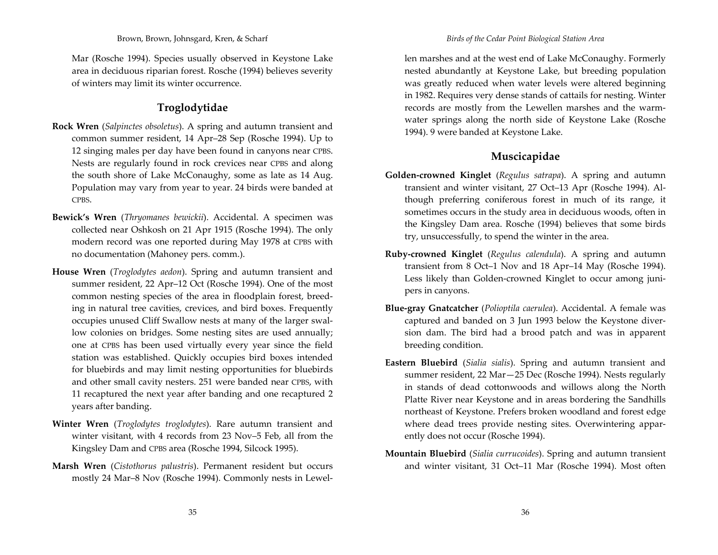Mar (Rosche 1994). Species usually observed in Keystone Lake area in deciduous riparian forest. Rosche (1994) believes severity of winters may limit its winter occurrence.

# **Troglodytidae**

- **Rock Wren** (*Salpinctes obsoletus*). A spring and autumn transient and common summer resident, <sup>14</sup> Apr–28 Sep (Rosche 1994). Up to 12 singing males per day have been found in canyons near CPBS. Nests are regularly found in rock crevices near CPBS and along the south shore of Lake McConaughy, some as late as <sup>14</sup> Aug. Population may vary from year to year. <sup>24</sup> birds were banded at CPBS.
- **Bewick's Wren** (*Thryomanes bewickii*). Accidental. A specimen was collected near Oshkosh on <sup>21</sup> Apr 1915 (Rosche 1994). The only modern record was one reported during May 1978 at CPBS with no documentation (Mahoney pers. comm.).
- **House Wren** (*Troglodytes aedon*). Spring and autumn transient and summer resident, <sup>22</sup> Apr–12 Oct (Rosche 1994). One of the most common nesting species of the area in floodplain forest, breed‐ ing in natural tree cavities, crevices, and bird boxes. Frequently occupies unused Cliff Swallow nests at many of the larger swal‐ low colonies on bridges. Some nesting sites are used annually; one at CPBS has been used virtually every year since the field station was established. Quickly occupies bird boxes intended for bluebirds and may limit nesting opportunities for bluebirds and other small cavity nesters. 251 were banded near CPBS, with 11 recaptured the next year after banding and one recaptured <sup>2</sup> years after banding.
- **Winter Wren** (*Troglodytes troglodytes*). Rare autumn transient and winter visitant, with 4 records from 23 Nov–5 Feb, all from the Kingsley Dam and CPBS area (Rosche 1994, Silcock 1995).
- **Marsh Wren** (*Cistothorus palustris*). Permanent resident but occurs mostly <sup>24</sup> Mar–8 Nov (Rosche 1994). Commonly nests in Lewel‐

len marshes and at the west end of Lake McConaughy. Formerly nested abundantly at Keystone Lake, but breeding population was greatly reduced when water levels were altered beginning in 1982. Requires very dense stands of cattails for nesting. Winter records are mostly from the Lewellen marshes and the warm‐ water springs along the north side of Keystone Lake (Rosche 1994). 9 were banded at Keystone Lake.

# **Muscicapidae**

- **Golden‐crowned Kinglet** (*Regulus satrapa*). A spring and autumn transient and winter visitant, <sup>27</sup> Oct–13 Apr (Rosche 1994). Al‐ though preferring coniferous forest in much of its range, it sometimes occurs in the study area in deciduous woods, often in the Kingsley Dam area. Rosche (1994) believes that some birds try, unsuccessfully, to spend the winter in the area.
- **Ruby‐crowned Kinglet** (*Regulus calendula*). A spring and autumn transient from <sup>8</sup> Oct–1 Nov and 18 Apr–14 May (Rosche 1994). Less likely than Golden‐crowned Kinglet to occur among juni‐ pers in canyons.
- **Blue‐gray Gnatcatcher** (*Polioptila caerulea*). Accidental. A female was captured and banded on 3 Jun 1993 below the Keystone diver‐ sion dam. The bird had <sup>a</sup> brood patch and was in apparen<sup>t</sup> breeding condition.
- **Eastern Bluebird** (*Sialia sialis*). Spring and autumn transient and summer resident, <sup>22</sup> Mar—25 Dec (Rosche 1994). Nests regularly in stands of dead cottonwoods and willows along the North Platte River near Keystone and in areas bordering the Sandhills northeast of Keystone. Prefers broken woodland and forest edge where dead trees provide nesting sites. Overwintering appar‐ ently does not occur (Rosche 1994).
- **Mountain Bluebird** (*Sialia currucoides*). Spring and autumn transient and winter visitant, 31 Oct–11 Mar (Rosche 1994). Most often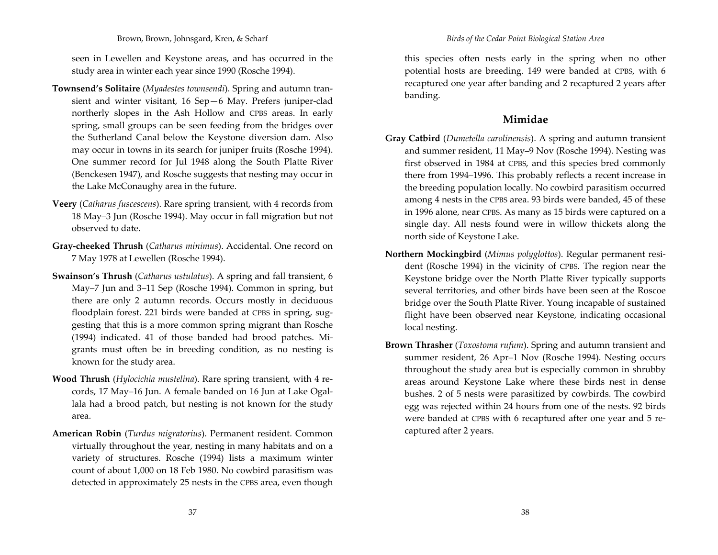Brown, Brown, Johnsgard, Kren, & Scharf

seen in Lewellen and Keystone areas, and has occurred in the study area in winter each year since 1990 (Rosche 1994).

- **Townsend's Solitaire** (*Myadestes townsendi*). Spring and autumn tran‐ sient and winter visitant, 16 Sep—6 May. Prefers juniper‐clad northerly slopes in the Ash Hollow and CPBS areas. In early spring, small groups can be seen feeding from the bridges over the Sutherland Canal below the Keystone diversion dam. Also may occur in towns in its search for juniper fruits (Rosche 1994). One summer record for Jul 1948 along the South Platte River (Benckesen 1947), and Rosche suggests that nesting may occur in the Lake McConaughy area in the future.
- **Veery** (*Catharus fuscescens*). Rare spring transient, with 4 records from 18 May–3 Jun (Rosche 1994). May occur in fall migration but not observed to date.
- **Gray‐cheeked Thrush** (*Catharus minimus*). Accidental. One record on 7 May 1978 at Lewellen (Rosche 1994).
- **Swainson's Thrush** (*Catharus ustulatus*). A spring and fall transient, 6 May–7 Jun and 3–11 Sep (Rosche 1994). Common in spring, but there are only <sup>2</sup> autumn records. Occurs mostly in deciduous floodplain forest. 221 birds were banded at CPBS in spring, suggesting that this is <sup>a</sup> more common spring migrant than Rosche (1994) indicated. <sup>41</sup> of those banded had brood patches. Mi‐ grants must often be in breeding condition, as no nesting is known for the study area.
- **Wood Thrush** (*Hylocichia mustelina*). Rare spring transient, with 4 re‐ cords, <sup>17</sup> May–16 Jun. A female banded on 16 Jun at Lake Ogal‐ lala had <sup>a</sup> brood patch, but nesting is not known for the study area.
- **American Robin** (*Turdus migratorius*). Permanent resident. Common virtually throughout the year, nesting in many habitats and on <sup>a</sup> variety of structures. Rosche (1994) lists <sup>a</sup> maximum winter count of about 1,000 on 18 Feb 1980. No cowbird parasitism was detected in approximately 25 nests in the CPBS area, even though

this species often nests early in the spring when no other potential hosts are breeding. 149 were banded at CPBS, with 6 recaptured one year after banding and <sup>2</sup> recaptured <sup>2</sup> years after banding.

#### **Mimidae**

- **Gray Catbird** (*Dumetella carolinensis*). A spring and autumn transient and summer resident, <sup>11</sup> May–9 Nov (Rosche 1994). Nesting was first observed in 1984 at CPBS, and this species bred commonly there from 1994–1996. This probably reflects <sup>a</sup> recent increase in the breeding population locally. No cowbird parasitism occurred among 4 nests in the CPBS area. 93 birds were banded, 45 of these in 1996 alone, near CPBS. As many as 15 birds were captured on <sup>a</sup> single day. All nests found were in willow thickets along the north side of Keystone Lake.
- **Northern Mockingbird** (*Mimus polyglottos*). Regular permanen<sup>t</sup> resi‐ dent (Rosche 1994) in the vicinity of CPBS. The region near the Keystone bridge over the North Platte River typically supports several territories, and other birds have been seen at the Roscoe bridge over the South Platte River. Young incapable of sustained flight have been observed near Keystone, indicating occasional local nesting.
- **Brown Thrasher** (*Toxostoma rufum*). Spring and autumn transient and summer resident, 26 Apr–1 Nov (Rosche 1994). Nesting occurs throughout the study area but is especially common in shrubby areas around Keystone Lake where these birds nest in dense bushes. 2 of <sup>5</sup> nests were parasitized by cowbirds. The cowbird egg was rejected within <sup>24</sup> hours from one of the nests. 92 birds were banded at CPBS with 6 recaptured after one year and <sup>5</sup> re‐ captured after <sup>2</sup> years.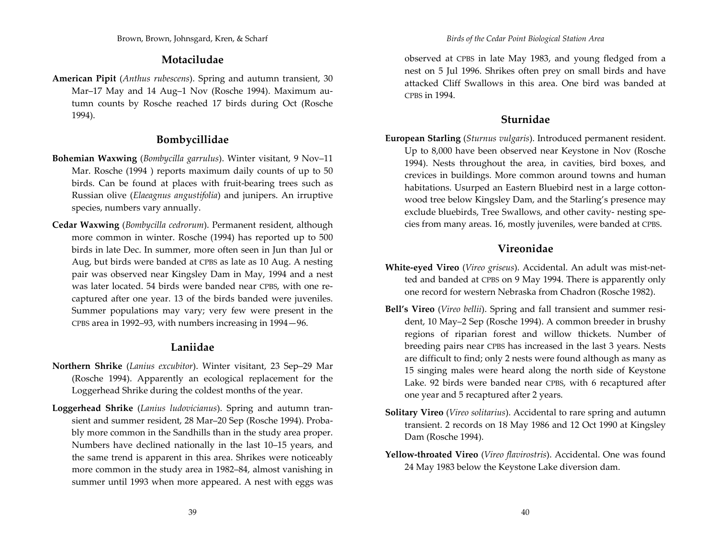### **Motaciludae**

**American Pipit** (*Anthus rubescens*). Spring and autumn transient, 30 Mar–17 May and <sup>14</sup> Aug–1 Nov (Rosche 1994). Maximum au‐ tumn counts by Rosche reached <sup>17</sup> birds during Oct (Rosche 1994).

# **Bombycillidae**

- **Bohemian Waxwing** (*Bombycilla garrulus*). Winter visitant, 9 Nov–11 Mar. Rosche (1994 ) reports maximum daily counts of up to 50 birds. Can be found at places with fruit‐bearing trees such as Russian olive (*Elaeagnus angustifolia*) and junipers. An irruptive species, numbers vary annually.
- **Cedar Waxwing** (*Bombycilla cedrorum*). Permanent resident, although more common in winter. Rosche (1994) has reported up to 500 birds in late Dec. In summer, more often seen in Jun than Jul or Aug, but birds were banded at CPBS as late as 10 Aug. A nesting pair was observed near Kingsley Dam in May, 1994 and <sup>a</sup> nest was later located. 54 birds were banded near CPBS, with one re‐ captured after one year. 13 of the birds banded were juveniles. Summer populations may vary; very few were presen<sup>t</sup> in the CPBS area in 1992–93, with numbers increasing in 1994—96.

# **Laniidae**

- **Northern Shrike** (*Lanius excubitor*). Winter visitant, <sup>23</sup> Sep–29 Mar (Rosche 1994). Apparently an ecological replacement for the Loggerhead Shrike during the coldest months of the year.
- **Loggerhead Shrike** (*Lanius ludovicianus*). Spring and autumn tran‐ sient and summer resident, <sup>28</sup> Mar–20 Sep (Rosche 1994). Proba‐ bly more common in the Sandhills than in the study area proper. Numbers have declined nationally in the last 10–15 years, and the same trend is apparen<sup>t</sup> in this area. Shrikes were noticeably more common in the study area in 1982–84, almost vanishing in summer until 1993 when more appeared. A nest with eggs was

observed at CPBS in late May 1983, and young fledged from <sup>a</sup> nest on <sup>5</sup> Jul 1996. Shrikes often prey on small birds and have attacked Cliff Swallows in this area. One bird was banded at CPBS in 1994.

### **Sturnidae**

**European Starling** (*Sturnus vulgaris*). Introduced permanen<sup>t</sup> resident. Up to 8,000 have been observed near Keystone in Nov (Rosche 1994). Nests throughout the area, in cavities, bird boxes, and crevices in buildings. More common around towns and human habitations. Usurped an Eastern Bluebird nest in <sup>a</sup> large cotton‐ wood tree below Kingsley Dam, and the Starling's presence may exclude bluebirds, Tree Swallows, and other cavity‐ nesting spe‐ cies from many areas. 16, mostly juveniles, were banded at CPBS.

# **Vireonidae**

- **White‐eyed Vireo** (*Vireo griseus*). Accidental. An adult was mist‐net‐ ted and banded at CPBS on 9 May 1994. There is apparently only one record for western Nebraska from Chadron (Rosche 1982).
- **Bell's Vireo** (*Vireo bellii*). Spring and fall transient and summer resi‐ dent, 10 May–2 Sep (Rosche 1994). A common breeder in brushy regions of riparian forest and willow thickets. Number of breeding pairs near CPBS has increased in the last 3 years. Nests are difficult to find; only <sup>2</sup> nests were found although as many as 15 singing males were heard along the north side of Keystone Lake. 92 birds were banded near CPBS, with 6 recaptured after one year and <sup>5</sup> recaptured after <sup>2</sup> years.
- **Solitary Vireo** (*Vireo solitarius*). Accidental to rare spring and autumn transient. 2 records on 18 May 1986 and <sup>12</sup> Oct 1990 at Kingsley Dam (Rosche 1994).
- **Yellow‐throated Vireo** (*Vireo flavirostris*). Accidental. One was found 24 May 1983 below the Keystone Lake diversion dam.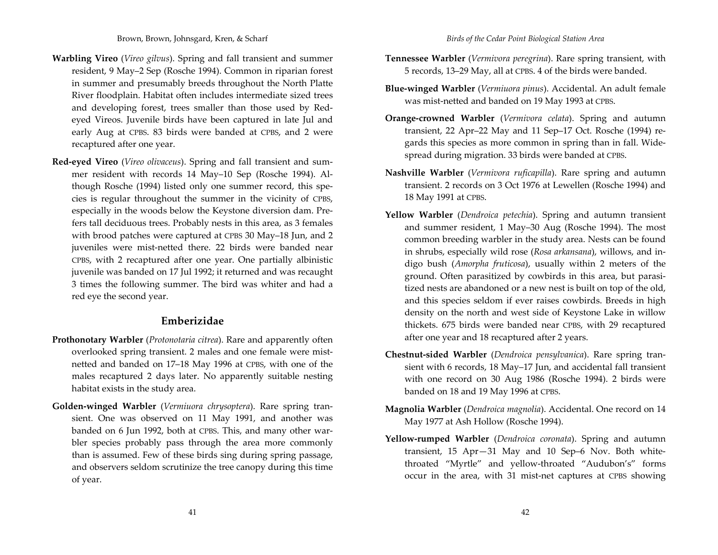- **Warbling Vireo** (*Vireo gilvus*). Spring and fall transient and summer resident, 9 May–2 Sep (Rosche 1994). Common in riparian forest in summer and presumably breeds throughout the North Platte River floodplain. Habitat often includes intermediate sized trees and developing forest, trees smaller than those used by Red‐ eyed Vireos. Juvenile birds have been captured in late Jul and early Aug at CPBS. 83 birds were banded at CPBS, and <sup>2</sup> were recaptured after one year.
- **Red‐eyed Vireo** (*Vireo olivaceus*). Spring and fall transient and sum‐ mer resident with records <sup>14</sup> May–10 Sep (Rosche 1994). Al‐ though Rosche (1994) listed only one summer record, this spe‐ cies is regular throughout the summer in the vicinity of CPBS, especially in the woods below the Keystone diversion dam. Pre‐ fers tall deciduous trees. Probably nests in this area, as 3 females with brood patches were captured at CPBS 30 May–18 Jun, and <sup>2</sup> juveniles were mist-netted there. 22 birds were banded near CPBS, with <sup>2</sup> recaptured after one year. One partially albinistic juvenile was banded on <sup>17</sup> Jul 1992; it returned and was recaught 3 times the following summer. The bird was whiter and had <sup>a</sup> red eye the second year.

#### **Emberizidae**

- **Prothonotary Warbler** (*Protonotaria citrea*). Rare and apparently often overlooked spring transient. <sup>2</sup> males and one female were mist‐ netted and banded on 17–18 May 1996 at CPBS, with one of the males recaptured <sup>2</sup> days later. No apparently suitable nesting habitat exists in the study area.
- **Golden‐winged Warbler** (*Vermiuora chrysoptera*). Rare spring tran‐ sient. One was observed on <sup>11</sup> May 1991, and another was banded on 6 Jun 1992, both at CPBS. This, and many other war‐ bler species probably pass through the area more commonly than is assumed. Few of these birds sing during spring passage, and observers seldom scrutinize the tree canopy during this time of year.
- **Tennessee Warbler** (*Vermivora peregrina*). Rare spring transient, with 5 records, 13–29 May, all at CPBS. <sup>4</sup> of the birds were banded.
- **Blue‐winged Warbler** (*Vermiuora pinus*). Accidental. An adult female was mist‐netted and banded on 19 May 1993 at CPBS.
- **Orange‐crowned Warbler** (*Vermivora celata*). Spring and autumn transient, <sup>22</sup> Apr–22 May and <sup>11</sup> Sep–17 Oct. Rosche (1994) re‐ gards this species as more common in spring than in fall. Wide‐ spread during migration. 33 birds were banded at CPBS.
- **Nashville Warbler** (*Vermivora ruficapilla*). Rare spring and autumn transient. 2 records on 3 Oct 1976 at Lewellen (Rosche 1994) and 18 May 1991 at CPBS.
- **Yellow Warbler** (*Dendroica petechia*). Spring and autumn transient and summer resident, <sup>1</sup> May–30 Aug (Rosche 1994). The most common breeding warbler in the study area. Nests can be found in shrubs, especially wild rose (*Rosa arkansana*), willows, and in‐ digo bush (*Amorpha fruticosa*), usually within <sup>2</sup> meters of the ground. Often parasitized by cowbirds in this area, but parasi‐ tized nests are abandoned or <sup>a</sup> new nest is built on top of the old, and this species seldom if ever raises cowbirds. Breeds in high density on the north and west side of Keystone Lake in willow thickets. 675 birds were banded near CPBS, with 29 recaptured after one year and 18 recaptured after <sup>2</sup> years.
- **Chestnut‐sided Warbler** (*Dendroica pensylvanica*). Rare spring tran‐ sient with 6 records, 18 May–17 Jun, and accidental fall transient with one record on 30 Aug 1986 (Rosche 1994). <sup>2</sup> birds were banded on 18 and 19 May 1996 at CPBS.
- **Magnolia Warbler** (*Dendroica magnolia*). Accidental. One record on <sup>14</sup> May 1977 at Ash Hollow (Rosche 1994).
- **Yellow‐rumped Warbler** (*Dendroica coronata*). Spring and autumn transient, 15 Apr—31 May and 10 Sep–6 Nov. Both white‐ throated "Myrtle" and yellow‐throated "Audubon's" forms occur in the area, with 31 mist‐net captures at CPBS showing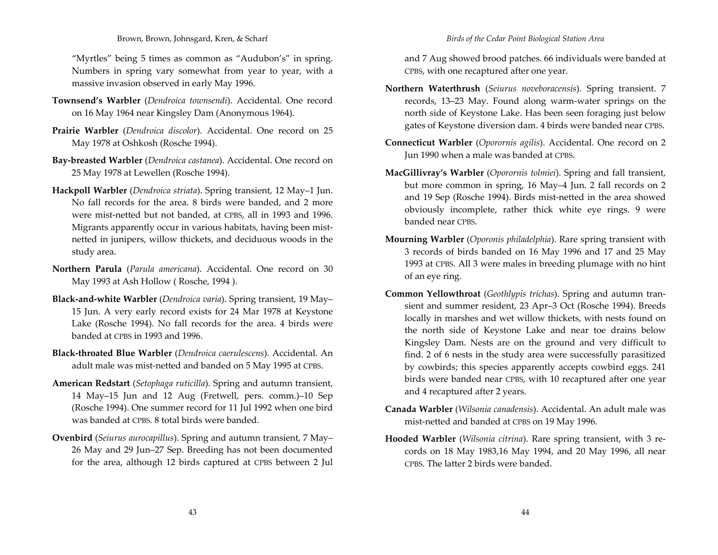#### Brown, Brown, Johnsgard, Kren, & Scharf

"Myrtles" being <sup>5</sup> times as common as "Audubon's" in spring. Numbers in spring vary somewhat from year to year, with <sup>a</sup> massive invasion observed in early May 1996.

- **Townsend's Warbler** (*Dendroica townsendi*). Accidental. One record on 16 May 1964 near Kingsley Dam (Anonymous 1964).
- **Prairie Warbler** (*Dendroica discolor*). Accidental. One record on 25 May 1978 at Oshkosh (Rosche 1994).
- **Bay‐breasted Warbler** (*Dendroica castanea*). Accidental. One record on 25 May 1978 at Lewellen (Rosche 1994).
- **Hackpoll Warbler** (*Dendroica striata*). Spring transient, <sup>12</sup> May–1 Jun. No fall records for the area. 8 birds were banded, and 2 more were mist‐netted but not banded, at CPBS, all in 1993 and 1996. Migrants apparently occur in various habitats, having been mist‐ netted in junipers, willow thickets, and deciduous woods in the study area.
- **Northern Parula** (*Parula americana*). Accidental. One record on 30 May 1993 at Ash Hollow ( Rosche, 1994 ).
- **Black‐and‐white Warbler** (*Dendroica varia*). Spring transient, 19 May– 15 Jun. A very early record exists for <sup>24</sup> Mar 1978 at Keystone Lake (Rosche 1994). No fall records for the area. 4 birds were banded at CPBS in 1993 and 1996.
- **Black‐throated Blue Warbler** (*Dendroica caerulescens*). Accidental. An adult male was mist‐netted and banded on <sup>5</sup> May 1995 at CPBS.
- **American Redstart** (*Setophaga ruticilla*). Spring and autumn transient, 14 May–15 Jun and <sup>12</sup> Aug (Fretwell, pers. comm.)–10 Sep (Rosche 1994). One summer record for 11 Jul 1992 when one bird was banded at CPBS. 8 total birds were banded.
- **Ovenbird** (*Seiurus aurocapillus*). Spring and autumn transient, <sup>7</sup> May– 26 May and 29 Jun–27 Sep. Breeding has not been documented for the area, although <sup>12</sup> birds captured at CPBS between <sup>2</sup> Jul

and <sup>7</sup> Aug showed brood patches. 66 individuals were banded at CPBS, with one recaptured after one year.

- **Northern Waterthrush** (*Seiurus noveboracensis*). Spring transient. <sup>7</sup> records, 13–23 May. Found along warm‐water springs on the north side of Keystone Lake. Has been seen foraging just below gates of Keystone diversion dam. <sup>4</sup> birds were banded near CPBS.
- **Connecticut Warbler** (*Oporornis agilis*). Accidental. One record on <sup>2</sup> Jun 1990 when <sup>a</sup> male was banded at CPBS.
- **MacGillivray's Warbler** (*Oporornis tolmiei*). Spring and fall transient, but more common in spring, 16 May–4 Jun. <sup>2</sup> fall records on <sup>2</sup> and 19 Sep (Rosche 1994). Birds mist‐netted in the area showed obviously incomplete, rather thick white eye rings. 9 were banded near CPBS.
- **Mourning Warbler** (*Oporonis philadelphia*). Rare spring transient with 3 records of birds banded on 16 May 1996 and <sup>17</sup> and 25 May 1993 at CPBS. All 3 were males in breeding plumage with no hint of an eye ring.
- **Common Yellowthroat** (*Geothlypis trichas*). Spring and autumn tran‐ sient and summer resident, 23 Apr–3 Oct (Rosche 1994). Breeds locally in marshes and wet willow thickets, with nests found on the north side of Keystone Lake and near toe drains below Kingsley Dam. Nests are on the ground and very difficult to find. 2 of 6 nests in the study area were successfully parasitized by cowbirds; this species apparently accepts cowbird eggs. <sup>241</sup> birds were banded near CPBS, with 10 recaptured after one year and <sup>4</sup> recaptured after <sup>2</sup> years.
- **Canada Warbler** (*Wilsonia canadensis*). Accidental. An adult male was mist‐netted and banded at CPBS on 19 May 1996.
- **Hooded Warbler** (*Wilsonia citrina*). Rare spring transient, with <sup>3</sup> re‐ cords on 18 May 1983,16 May 1994, and 20 May 1996, all near CPBS. The latter 2 birds were banded.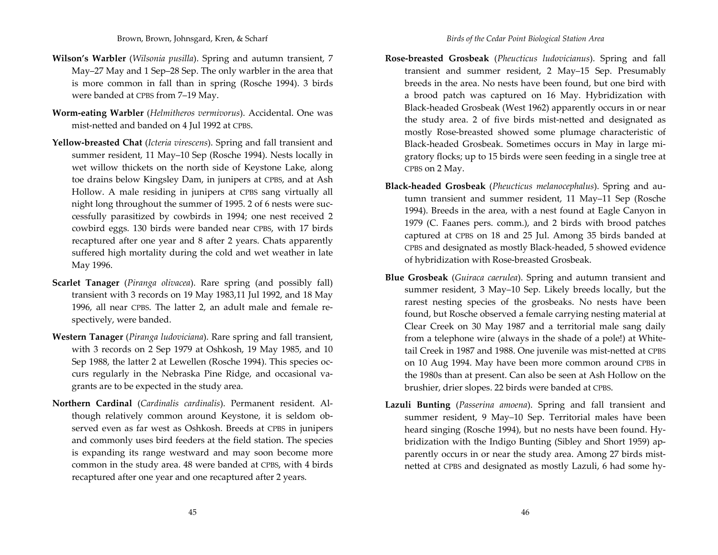- **Wilson's Warbler** (*Wilsonia pusilla*). Spring and autumn transient, <sup>7</sup> May–27 May and <sup>1</sup> Sep–28 Sep. The only warbler in the area that is more common in fall than in spring (Rosche 1994). 3 birds were banded at CPBS from 7–19 May.
- **Worm‐eating Warbler** (*Helmitheros vermivorus*). Accidental. One was mist‐netted and banded on 4 Jul 1992 at CPBS.
- **Yellow‐breasted Chat** (*Icteria virescens*). Spring and fall transient and summer resident, <sup>11</sup> May–10 Sep (Rosche 1994). Nests locally in wet willow thickets on the north side of Keystone Lake, along toe drains below Kingsley Dam, in junipers at CPBS, and at Ash Hollow. A male residing in junipers at CPBS sang virtually all night long throughout the summer of 1995. <sup>2</sup> of 6 nests were suc‐ cessfully parasitized by cowbirds in 1994; one nest received <sup>2</sup> cowbird eggs. 130 birds were banded near CPBS, with <sup>17</sup> birds recaptured after one year and <sup>8</sup> after <sup>2</sup> years. Chats apparently suffered high mortality during the cold and wet weather in late May 1996.
- **Scarlet Tanager** (*Piranga olivacea*). Rare spring (and possibly fall) transient with 3 records on 19 May 1983,11 Jul 1992, and 18 May 1996, all near CPBS. The latter 2, an adult male and female re‐ spectively, were banded.
- **Western Tanager** (*Piranga ludoviciana*). Rare spring and fall transient, with 3 records on <sup>2</sup> Sep 1979 at Oshkosh, 19 May 1985, and 10 Sep 1988, the latter <sup>2</sup> at Lewellen (Rosche 1994). This species oc‐ curs regularly in the Nebraska Pine Ridge, and occasional va‐ grants are to be expected in the study area.
- **Northern Cardinal** (*Cardinalis cardinalis*). Permanent resident. Al‐ though relatively common around Keystone, it is seldom ob‐ served even as far west as Oshkosh. Breeds at CPBS in junipers and commonly uses bird feeders at the field station. The species is expanding its range westward and may soon become more common in the study area. 48 were banded at CPBS, with 4 birds recaptured after one year and one recaptured after <sup>2</sup> years.
- **Rose‐breasted Grosbeak** (*Pheucticus ludovicianus*). Spring and fall transient and summer resident, <sup>2</sup> May–15 Sep. Presumably breeds in the area. No nests have been found, but one bird with a brood patch was captured on 16 May. Hybridization with Black‐headed Grosbeak (West 1962) apparently occurs in or near the study area. <sup>2</sup> of five birds mist‐netted and designated as mostly Rose‐breasted showed some plumage characteristic of Black‐headed Grosbeak. Sometimes occurs in May in large mi‐ gratory flocks; up to 15 birds were seen feeding in <sup>a</sup> single tree at CPBS on 2 May.
- **Black‐headed Grosbeak** (*Pheucticus melanocephalus*). Spring and au‐ tumn transient and summer resident, <sup>11</sup> May–11 Sep (Rosche 1994). Breeds in the area, with <sup>a</sup> nest found at Eagle Canyon in 1979 (C. Faanes pers. comm.), and <sup>2</sup> birds with brood patches captured at CPBS on 18 and <sup>25</sup> Jul. Among 35 birds banded at CPBS and designated as mostly Black‐headed, <sup>5</sup> showed evidence of hybridization with Rose‐breasted Grosbeak.
- **Blue Grosbeak** (*Guiraca caerulea*). Spring and autumn transient and summer resident, 3 May–10 Sep. Likely breeds locally, but the rarest nesting species of the grosbeaks. No nests have been found, but Rosche observed <sup>a</sup> female carrying nesting material at Clear Creek on 30 May 1987 and <sup>a</sup> territorial male sang daily from <sup>a</sup> telephone wire (always in the shade of <sup>a</sup> pole!) at White‐ tail Creek in 1987 and 1988. One juvenile was mist‐netted at CPBS on 10 Aug 1994. May have been more common around CPBS in the 1980s than at present. Can also be seen at Ash Hollow on the brushier, drier slopes. <sup>22</sup> birds were banded at CPBS.
- **Lazuli Bunting** (*Passerina amoena*). Spring and fall transient and summer resident, 9 May–10 Sep. Territorial males have been heard singing (Rosche 1994), but no nests have been found. Hy‐ bridization with the Indigo Bunting (Sibley and Short 1959) ap‐ parently occurs in or near the study area. Among 27 birds mistnetted at CPBS and designated as mostly Lazuli, 6 had some hy‐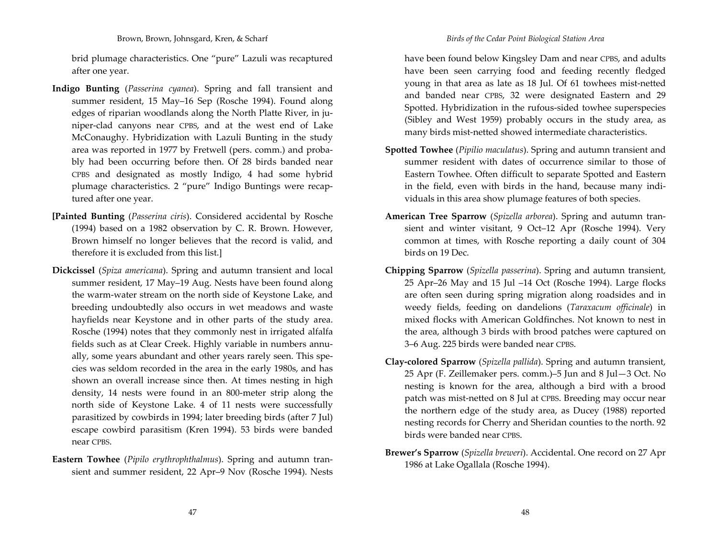brid plumage characteristics. One "pure" Lazuli was recaptured after one year.

- **Indigo Bunting** (*Passerina cyanea*). Spring and fall transient and summer resident, 15 May–16 Sep (Rosche 1994). Found along edges of riparian woodlands along the North Platte River, in juniper‐clad canyons near CPBS, and at the west end of Lake McConaughy. Hybridization with Lazuli Bunting in the study area was reported in 1977 by Fretwell (pers. comm.) and proba‐ bly had been occurring before then. Of <sup>28</sup> birds banded near CPBS and designated as mostly Indigo, <sup>4</sup> had some hybrid plumage characteristics. <sup>2</sup> "pure" Indigo Buntings were recap‐ tured after one year.
- **[Painted Bunting** (*Passerina ciris*). Considered accidental by Rosche (1994) based on <sup>a</sup> 1982 observation by C. R. Brown. However, Brown himself no longer believes that the record is valid, and therefore it is excluded from this list.]
- **Dickcissel** (*Spiza americana*). Spring and autumn transient and local summer resident, <sup>17</sup> May–19 Aug. Nests have been found along the warm‐water stream on the north side of Keystone Lake, and breeding undoubtedly also occurs in wet meadows and waste hayfields near Keystone and in other parts of the study area. Rosche (1994) notes that they commonly nest in irrigated alfalfa fields such as at Clear Creek. Highly variable in numbers annu‐ ally, some years abundant and other years rarely seen. This spe‐ cies was seldom recorded in the area in the early 1980s, and has shown an overall increase since then. At times nesting in high density, <sup>14</sup> nests were found in an 800‐meter strip along the north side of Keystone Lake. <sup>4</sup> of <sup>11</sup> nests were successfully parasitized by cowbirds in 1994; later breeding birds (after <sup>7</sup> Jul) escape cowbird parasitism (Kren 1994). 53 birds were banded near CPBS.
- **Eastern Towhee** (*Pipilo erythrophthalmus*). Spring and autumn tran‐ sient and summer resident, <sup>22</sup> Apr–9 Nov (Rosche 1994). Nests

have been found below Kingsley Dam and near CPBS, and adults have been seen carrying food and feeding recently fledged young in that area as late as 18 Jul. Of 61 towhees mist‐netted and banded near CPBS, 32 were designated Eastern and 29 Spotted. Hybridization in the rufous‐sided towhee superspecies (Sibley and West 1959) probably occurs in the study area, as many birds mist‐netted showed intermediate characteristics.

- **Spotted Towhee** (*Pipilio maculatus*). Spring and autumn transient and summer resident with dates of occurrence similar to those of Eastern Towhee. Often difficult to separate Spotted and Eastern in the field, even with birds in the hand, because many indi‐ viduals in this area show plumage features of both species.
- **American Tree Sparrow** (*Spizella arborea*). Spring and autumn tran‐ sient and winter visitant, 9 Oct–12 Apr (Rosche 1994). Very common at times, with Rosche reporting <sup>a</sup> daily count of 304 birds on 19 Dec.
- **Chipping Sparrow** (*Spizella passerina*). Spring and autumn transient, 25 Apr–26 May and 15 Jul –14 Oct (Rosche 1994). Large flocks are often seen during spring migration along roadsides and in weedy fields, feeding on dandelions (*Taraxacum officinale*) in mixed flocks with American Goldfinches. Not known to nest in the area, although 3 birds with brood patches were captured on 3–6 Aug. <sup>225</sup> birds were banded near CPBS.
- **Clay‐colored Sparrow** (*Spizella pallida*). Spring and autumn transient, 25 Apr (F. Zeillemaker pers. comm.)–5 Jun and <sup>8</sup> Jul—3 Oct. No nesting is known for the area, although <sup>a</sup> bird with <sup>a</sup> brood patch was mist‐netted on <sup>8</sup> Jul at CPBS. Breeding may occur near the northern edge of the study area, as Ducey (1988) reported nesting records for Cherry and Sheridan counties to the north. 92 birds were banded near CPBS.
- **Brewer's Sparrow** (*Spizella breweri*). Accidental. One record on <sup>27</sup> Apr 1986 at Lake Ogallala (Rosche 1994).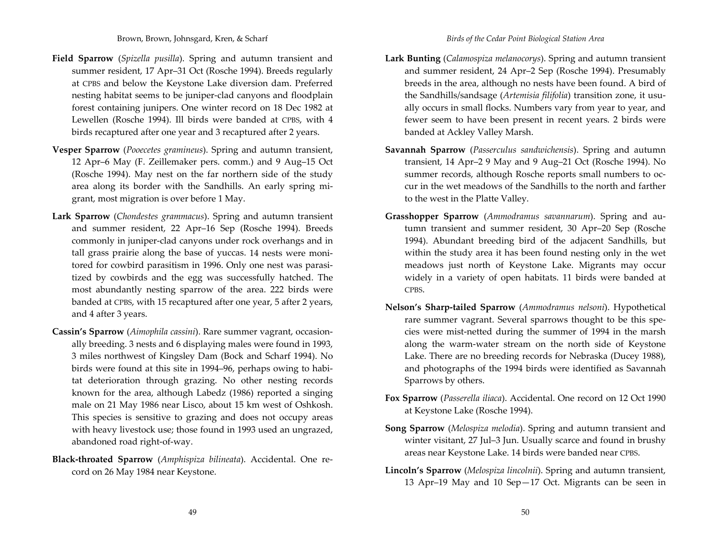- **Field Sparrow** (*Spizella pusilla*). Spring and autumn transient and summer resident, <sup>17</sup> Apr–31 Oct (Rosche 1994). Breeds regularly at CPBS and below the Keystone Lake diversion dam. Preferred nesting habitat seems to be juniper‐clad canyons and floodplain forest containing junipers. One winter record on 18 Dec 1982 at Lewellen (Rosche 1994). Ill birds were banded at CPBS, with 4 birds recaptured after one year and 3 recaptured after <sup>2</sup> years.
- **Vesper Sparrow** (*Pooecetes gramineus*). Spring and autumn transient, 12 Apr–6 May (F. Zeillemaker pers. comm.) and 9 Aug–15 Oct (Rosche 1994). May nest on the far northern side of the study area along its border with the Sandhills. An early spring mi‐ grant, most migration is over before <sup>1</sup> May.
- **Lark Sparrow** (*Chondestes grammacus*). Spring and autumn transient and summer resident, <sup>22</sup> Apr–16 Sep (Rosche 1994). Breeds commonly in juniper‐clad canyons under rock overhangs and in tall grass prairie along the base of yuccas. <sup>14</sup> nests were moni‐ tored for cowbird parasitism in 1996. Only one nest was parasi‐ tized by cowbirds and the egg was successfully hatched. The most abundantly nesting sparrow of the area. <sup>222</sup> birds were banded at CPBS, with 15 recaptured after one year, <sup>5</sup> after <sup>2</sup> years, and <sup>4</sup> after 3 years.
- **Cassin's Sparrow** (*Aimophila cassini*). Rare summer vagrant, occasion‐ ally breeding. 3 nests and 6 displaying males were found in 1993, 3 miles northwest of Kingsley Dam (Bock and Scharf 1994). No birds were found at this site in 1994–96, perhaps owing to habi‐ tat deterioration through grazing. No other nesting records known for the area, although Labedz (1986) reported <sup>a</sup> singing male on <sup>21</sup> May 1986 near Lisco, about 15 km west of Oshkosh. This species is sensitive to grazing and does not occupy areas with heavy livestock use; those found in 1993 used an ungrazed, abandoned road right‐of‐way.
- **Black‐throated Sparrow** (*Amphispiza bilineata*). Accidental. One re‐ cord on 26 May 1984 near Keystone.
- **Lark Bunting** (*Calamospiza melanocorys*). Spring and autumn transient and summer resident, <sup>24</sup> Apr–2 Sep (Rosche 1994). Presumably breeds in the area, although no nests have been found. A bird of the Sandhills/sandsage (*Artemisia filifolia*) transition zone, it usu‐ ally occurs in small flocks. Numbers vary from year to year, and fewer seem to have been presen<sup>t</sup> in recent years. <sup>2</sup> birds were banded at Ackley Valley Marsh.
- **Savannah Sparrow** (*Passerculus sandwichensis*). Spring and autumn transient, <sup>14</sup> Apr–2 9 May and 9 Aug–21 Oct (Rosche 1994). No summer records, although Rosche reports small numbers to oc‐ cur in the wet meadows of the Sandhills to the north and farther to the west in the Platte Valley.
- **Grasshopper Sparrow** (*Ammodramus savannarum*). Spring and au‐ tumn transient and summer resident, 30 Apr–20 Sep (Rosche 1994). Abundant breeding bird of the adjacent Sandhills, but within the study area it has been found nesting only in the wet meadows just north of Keystone Lake. Migrants may occur widely in <sup>a</sup> variety of open habitats. <sup>11</sup> birds were banded at CPBS.
- **Nelson's Sharp‐tailed Sparrow** (*Ammodramus nelsoni*). Hypothetical rare summer vagrant. Several sparrows thought to be this spe‐ cies were mist‐netted during the summer of 1994 in the marsh along the warm‐water stream on the north side of Keystone Lake. There are no breeding records for Nebraska (Ducey 1988), and photographs of the 1994 birds were identified as Savannah Sparrows by others.
- **Fox Sparrow** (*Passerella iliaca*). Accidental. One record on 12 Oct 1990 at Keystone Lake (Rosche 1994).
- **Song Sparrow** (*Melospiza melodia*). Spring and autumn transient and winter visitant, <sup>27</sup> Jul–3 Jun. Usually scarce and found in brushy areas near Keystone Lake. <sup>14</sup> birds were banded near CPBS.
- **Lincoln's Sparrow** (*Melospiza lincolnii*). Spring and autumn transient, 13 Apr–19 May and 10 Sep—17 Oct. Migrants can be seen in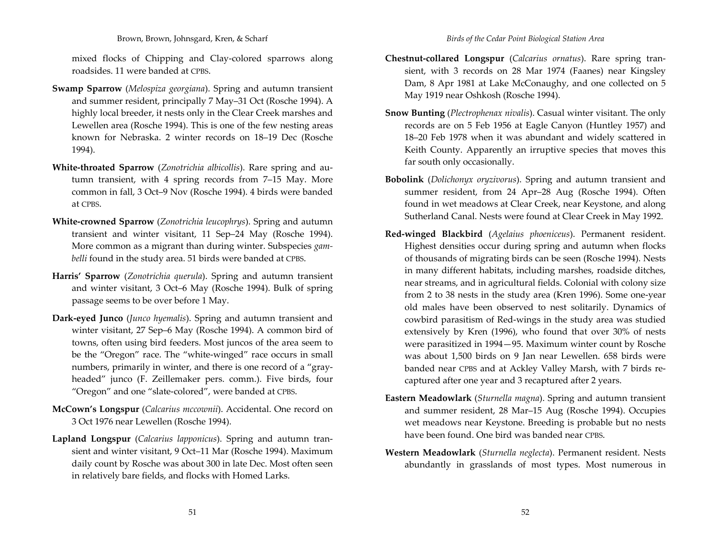#### Brown, Brown, Johnsgard, Kren, & Scharf

mixed flocks of Chipping and Clay‐colored sparrows along roadsides. 11 were banded at CPBS.

- **Swamp Sparrow** (*Melospiza georgiana*). Spring and autumn transient and summer resident, principally <sup>7</sup> May–31 Oct (Rosche 1994). A highly local breeder, it nests only in the Clear Creek marshes and Lewellen area (Rosche 1994). This is one of the few nesting areas known for Nebraska. 2 winter records on 18–19 Dec (Rosche 1994).
- **White‐throated Sparrow** (*Zonotrichia albicollis*). Rare spring and au‐ tumn transient, with <sup>4</sup> spring records from 7–15 May. More common in fall, 3 Oct–9 Nov (Rosche 1994). 4 birds were banded at CPBS.
- **White‐crowned Sparrow** (*Zonotrichia leucophrys*). Spring and autumn transient and winter visitant, <sup>11</sup> Sep–24 May (Rosche 1994). More common as <sup>a</sup> migrant than during winter. Subspecies *gam‐ belli* found in the study area. 51 birds were banded at CPBS.
- **Harris' Sparrow** (*Zonotrichia querula*). Spring and autumn transient and winter visitant, 3 Oct–6 May (Rosche 1994). Bulk of spring passage seems to be over before <sup>1</sup> May.
- **Dark‐eyed Junco** (*Junco hyemalis*). Spring and autumn transient and winter visitant, <sup>27</sup> Sep–6 May (Rosche 1994). A common bird of towns, often using bird feeders. Most juncos of the area seem to be the "Oregon" race. The "white‐winged" race occurs in small numbers, primarily in winter, and there is one record of a "grayheaded" junco (F. Zeillemaker pers. comm.). Five birds, four "Oregon" and one "slate‐colored", were banded at CPBS.
- **McCown's Longspur** (*Calcarius mccownii*). Accidental. One record on 3 Oct 1976 near Lewellen (Rosche 1994).
- **Lapland Longspur** (*Calcarius lapponicus*). Spring and autumn tran‐ sient and winter visitant, 9 Oct–11 Mar (Rosche 1994). Maximum daily count by Rosche was about 300 in late Dec. Most often seen in relatively bare fields, and flocks with Homed Larks.
- **Chestnut‐collared Longspur** (*Calcarius ornatus*). Rare spring tran‐ sient, with 3 records on <sup>28</sup> Mar 1974 (Faanes) near Kingsley Dam, <sup>8</sup> Apr 1981 at Lake McConaughy, and one collected on <sup>5</sup> May 1919 near Oshkosh (Rosche 1994).
- **Snow Bunting** (*Plectrophenax nivalis*). Casual winter visitant. The only records are on <sup>5</sup> Feb 1956 at Eagle Canyon (Huntley 1957) and 18–20 Feb 1978 when it was abundant and widely scattered in Keith County. Apparently an irruptive species that moves this far south only occasionally.
- **Bobolink** (*Dolichonyx oryzivorus*). Spring and autumn transient and summer resident, from <sup>24</sup> Apr–28 Aug (Rosche 1994). Often found in wet meadows at Clear Creek, near Keystone, and along Sutherland Canal. Nests were found at Clear Creek in May 1992.
- **Red‐winged Blackbird** (*Agelaius phoeniceus*). Permanent resident. Highest densities occur during spring and autumn when flocks of thousands of migrating birds can be seen (Rosche 1994). Nests in many different habitats, including marshes, roadside ditches, near streams, and in agricultural fields. Colonial with colony size from <sup>2</sup> to 38 nests in the study area (Kren 1996). Some one‐year old males have been observed to nest solitarily. Dynamics of cowbird parasitism of Red‐wings in the study area was studied extensively by Kren (1996), who found that over 30% of nests were parasitized in 1994—95. Maximum winter count by Rosche was about 1,500 birds on 9 Jan near Lewellen. 658 birds were banded near CPBS and at Ackley Valley Marsh, with <sup>7</sup> birds re‐ captured after one year and 3 recaptured after <sup>2</sup> years.
- **Eastern Meadowlark** (*Sturnella magna*). Spring and autumn transient and summer resident, <sup>28</sup> Mar–15 Aug (Rosche 1994). Occupies wet meadows near Keystone. Breeding is probable but no nests have been found. One bird was banded near CPBS.
- **Western Meadowlark** (*Sturnella neglecta*). Permanent resident. Nests abundantly in grasslands of most types. Most numerous in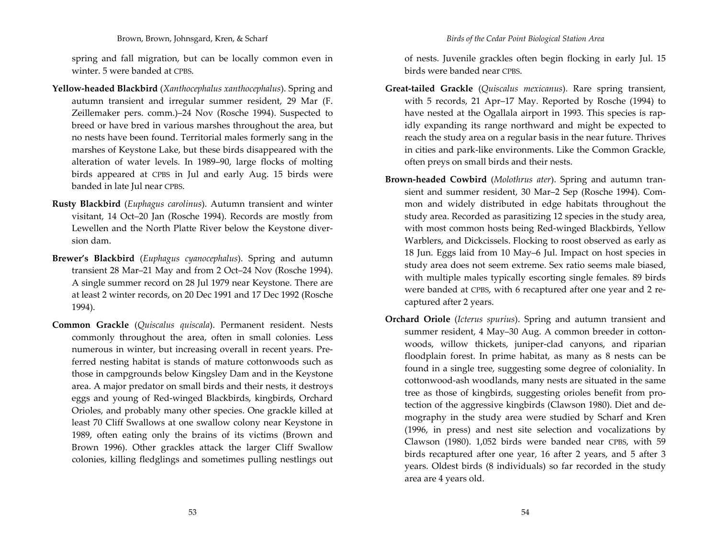spring and fall migration, but can be locally common even in winter. 5 were banded at CPBS.

- **Yellow‐headed Blackbird** (*Xanthocephalus xanthocephalus*). Spring and autumn transient and irregular summer resident, 29 Mar (F. Zeillemaker pers. comm.)–24 Nov (Rosche 1994). Suspected to breed or have bred in various marshes throughout the area, but no nests have been found. Territorial males formerly sang in the marshes of Keystone Lake, but these birds disappeared with the alteration of water levels. In 1989–90, large flocks of molting birds appeared at CPBS in Jul and early Aug. 15 birds were banded in late Jul near CPBS.
- **Rusty Blackbird** (*Euphagus carolinus*). Autumn transient and winter visitant, <sup>14</sup> Oct–20 Jan (Rosche 1994). Records are mostly from Lewellen and the North Platte River below the Keystone diver‐ sion dam.
- **Brewer's Blackbird** (*Euphagus cyanocephalus*). Spring and autumn transient 28 Mar–21 May and from <sup>2</sup> Oct–24 Nov (Rosche 1994). A single summer record on <sup>28</sup> Jul 1979 near Keystone. There are at least 2 winter records, on 20 Dec 1991 and 17 Dec 1992 (Rosche 1994).
- **Common Grackle** (*Quiscalus quiscala*). Permanent resident. Nests commonly throughout the area, often in small colonies. Less numerous in winter, but increasing overall in recent years. Pre‐ ferred nesting habitat is stands of mature cottonwoods such as those in campgrounds below Kingsley Dam and in the Keystone area. A major predator on small birds and their nests, it destroys eggs and young of Red‐winged Blackbirds, kingbirds, Orchard Orioles, and probably many other species. One grackle killed at least 70 Cliff Swallows at one swallow colony near Keystone in 1989, often eating only the brains of its victims (Brown and Brown 1996). Other grackles attack the larger Cliff Swallow colonies, killing fledglings and sometimes pulling nestlings out

of nests. Juvenile grackles often begin flocking in early Jul. 15 birds were banded near CPBS.

- **Great‐tailed Grackle** (*Quiscalus mexicanus*). Rare spring transient, with <sup>5</sup> records, <sup>21</sup> Apr–17 May. Reported by Rosche (1994) to have nested at the Ogallala airport in 1993. This species is rap‐ idly expanding its range northward and might be expected to reach the study area on <sup>a</sup> regular basis in the near future. Thrives in cities and park‐like environments. Like the Common Grackle, often preys on small birds and their nests.
- **Brown‐headed Cowbird** (*Molothrus ater*). Spring and autumn tran‐ sient and summer resident, 30 Mar–2 Sep (Rosche 1994). Com‐ mon and widely distributed in edge habitats throughout the study area. Recorded as parasitizing <sup>12</sup> species in the study area, with most common hosts being Red‐winged Blackbirds, Yellow Warblers, and Dickcissels. Flocking to roost observed as early as 18 Jun. Eggs laid from 10 May–6 Jul. Impact on host species in study area does not seem extreme. Sex ratio seems male biased, with multiple males typically escorting single females. 89 birds were banded at CPBS, with 6 recaptured after one year and <sup>2</sup> re‐ captured after <sup>2</sup> years.
- **Orchard Oriole** (*Icterus spurius*). Spring and autumn transient and summer resident, <sup>4</sup> May–30 Aug. A common breeder in cotton‐ woods, willow thickets, juniper‐clad canyons, and riparian floodplain forest. In prime habitat, as many as <sup>8</sup> nests can be found in <sup>a</sup> single tree, suggesting some degree of coloniality. In cottonwood‐ash woodlands, many nests are situated in the same tree as those of kingbirds, suggesting orioles benefit from pro‐ tection of the aggressive kingbirds (Clawson 1980). Diet and de‐ mography in the study area were studied by Scharf and Kren (1996, in press) and nest site selection and vocalizations by Clawson (1980). 1,052 birds were banded near CPBS, with 59 birds recaptured after one year, 16 after <sup>2</sup> years, and <sup>5</sup> after 3 years. Oldest birds (8 individuals) so far recorded in the study area are <sup>4</sup> years old.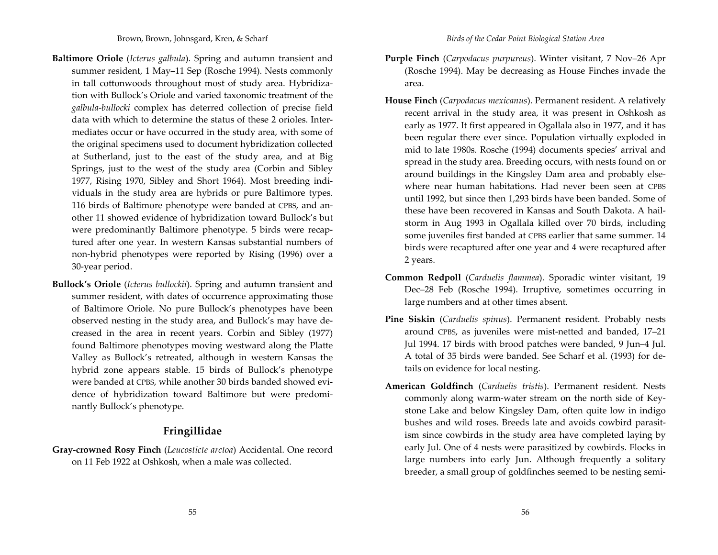- **Baltimore Oriole** (*Icterus galbula*). Spring and autumn transient and summer resident, <sup>1</sup> May–11 Sep (Rosche 1994). Nests commonly in tall cottonwoods throughout most of study area. Hybridiza‐ tion with Bullock's Oriole and varied taxonomic treatment of the *galbula‐bullocki* complex has deterred collection of precise field data with which to determine the status of these 2 orioles. Inter‐ mediates occur or have occurred in the study area, with some of the original specimens used to document hybridization collected at Sutherland, just to the east of the study area, and at Big Springs, just to the west of the study area (Corbin and Sibley 1977, Rising 1970, Sibley and Short 1964). Most breeding indi‐ viduals in the study area are hybrids or pure Baltimore types. 116 birds of Baltimore phenotype were banded at CPBS, and an‐ other 11 showed evidence of hybridization toward Bullock's but were predominantly Baltimore phenotype. <sup>5</sup> birds were recap‐ tured after one year. In western Kansas substantial numbers of non‐hybrid phenotypes were reported by Rising (1996) over <sup>a</sup> 30‐year period.
- **Bullock's Oriole** (*Icterus bullockii*). Spring and autumn transient and summer resident, with dates of occurrence approximating those of Baltimore Oriole. No pure Bullock's phenotypes have been observed nesting in the study area, and Bullock's may have de‐ creased in the area in recent years. Corbin and Sibley (1977) found Baltimore phenotypes moving westward along the Platte Valley as Bullock's retreated, although in western Kansas the hybrid zone appears stable. 15 birds of Bullock's phenotype were banded at CPBS, while another 30 birds banded showed evi‐ dence of hybridization toward Baltimore but were predomi‐ nantly Bullock's phenotype.

# **Fringillidae**

**Gray‐crowned Rosy Finch** (*Leucosticte arctoa*) Accidental. One record on 11 Feb 1922 at Oshkosh, when <sup>a</sup> male was collected.

- **Purple Finch** (*Carpodacus purpureus*). Winter visitant, <sup>7</sup> Nov–26 Apr (Rosche 1994). May be decreasing as House Finches invade the area.
- **House Finch** (*Carpodacus mexicanus*). Permanent resident. A relatively recent arrival in the study area, it was presen<sup>t</sup> in Oshkosh as early as 1977. It first appeared in Ogallala also in 1977, and it has been regular there ever since. Population virtually exploded in mid to late 1980s. Rosche (1994) documents species' arrival and spread in the study area. Breeding occurs, with nests found on or around buildings in the Kingsley Dam area and probably else‐ where near human habitations. Had never been seen at CPBS until 1992, but since then 1,293 birds have been banded. Some of these have been recovered in Kansas and South Dakota. A hail‐ storm in Aug 1993 in Ogallala killed over 70 birds, including some juveniles first banded at CPBS earlier that same summer. <sup>14</sup> birds were recaptured after one year and 4 were recaptured after 2 years.
- **Common Redpoll** (*Carduelis flammea*). Sporadic winter visitant, 19 Dec–28 Feb (Rosche 1994). Irruptive, sometimes occurring in large numbers and at other times absent.
- **Pine Siskin** (*Carduelis spinus*). Permanent resident. Probably nests around CPBS, as juveniles were mist‐netted and banded, 17–21 Jul 1994. <sup>17</sup> birds with brood patches were banded, 9 Jun–4 Jul. A total of 35 birds were banded. See Scharf et al. (1993) for de‐ tails on evidence for local nesting.
- **American Goldfinch** (*Carduelis tristis*). Permanent resident. Nests commonly along warm‐water stream on the north side of Key‐ stone Lake and below Kingsley Dam, often quite low in indigo bushes and wild roses. Breeds late and avoids cowbird parasit‐ ism since cowbirds in the study area have completed laying by early Jul. One of 4 nests were parasitized by cowbirds. Flocks in large numbers into early Jun. Although frequently <sup>a</sup> solitary breeder, <sup>a</sup> small group of goldfinches seemed to be nesting semi‐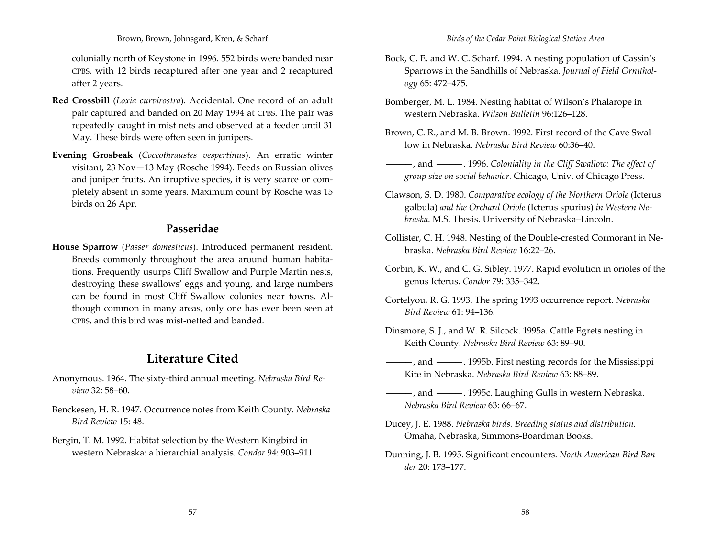colonially north of Keystone in 1996. 552 birds were banded near CPBS, with <sup>12</sup> birds recaptured after one year and <sup>2</sup> recaptured after 2 years.

- **Red Crossbill** (*Loxia curvirostra*). Accidental. One record of an adult pair captured and banded on 20 May 1994 at CPBS. The pair was repeatedly caught in mist nets and observed at <sup>a</sup> feeder until 31 May. These birds were often seen in junipers.
- **Evening Grosbeak** (*Coccothraustes vespertinus*). An erratic winter visitant, 23 Nov—13 May (Rosche 1994). Feeds on Russian olives and juniper fruits. An irruptive species, it is very scarce or com‐ pletely absent in some years. Maximum count by Rosche was 15 birds on 26 Apr.

### **Passeridae**

**House Sparrow** (*Passer domesticus*). Introduced permanen<sup>t</sup> resident. Breeds commonly throughout the area around human habita‐ tions. Frequently usurps Cliff Swallow and Purple Martin nests, destroying these swallows' eggs and young, and large numbers can be found in most Cliff Swallow colonies near towns. Al‐ though common in many areas, only one has ever been seen at CPBS, and this bird was mist‐netted and banded.

# **Literature Cited**

- Anonymous. 1964. The sixty‐third annual meeting. *Nebraska Bird Re‐ view* 32: 58–60.
- Benckesen, H. R. 1947. Occurrence notes from Keith County. *Nebraska Bird Review* 15: 48.
- Bergin, T. M. 1992. Habitat selection by the Western Kingbird in western Nebraska: <sup>a</sup> hierarchial analysis. *Condor* 94: 903–911.
- Bock, C. E. and W. C. Scharf. 1994. A nesting population of Cassin's Sparrows in the Sandhills of Nebraska. *Journal of Field Ornithol‐ ogy* 65: 472–475.
- Bomberger, M. L. 1984. Nesting habitat of Wilson's Phalarope in western Nebraska. *Wilson Bulletin* 96:126–128.
- Brown, C. R., and M. B. Brown. 1992. First record of the Cave Swallow in Nebraska. *Nebraska Bird Review* 60:36–40.
- ————, and ————. 1996. *Coloniality in the Cliff Swallow: The effect of group size on social behavior.* Chicago, Univ. of Chicago Press.
- Clawson, S. D. 1980. *Comparative ecology of the Northern Oriole* (Icterus galbula) *and the Orchard Oriole* (Icterus spurius) *in Western Ne‐ braska*. M.S. Thesis. University of Nebraska–Lincoln.
- Collister, C. H. 1948. Nesting of the Double‐crested Cormorant in Ne‐ braska. *Nebraska Bird Review* 16:22–26.
- Corbin, K. W., and C. G. Sibley. 1977. Rapid evolution in orioles of the genus Icterus. *Condor* 79: 335–342.
- Cortelyou, R. G. 1993. The spring 1993 occurrence report. *Nebraska Bird Review* 61: 94–136.
- Dinsmore, S. J., and W. R. Silcock. 1995a. Cattle Egrets nesting in Keith County. *Nebraska Bird Review* 63: 89–90.
- ————, and ————. 1995b. First nesting records for the Mississippi Kite in Nebraska. *Nebraska Bird Review* 63: 88–89.
- ————, and ————. 1995c. Laughing Gulls in western Nebraska. *Nebraska Bird Review* 63: 66–67.
- Ducey, J. E. 1988. *Nebraska birds. Breeding status and distribution.* Omaha, Nebraska, Simmons‐Boardman Books.
- Dunning, J. B. 1995. Significant encounters. *North American Bird Ban‐ der* 20: 173–177.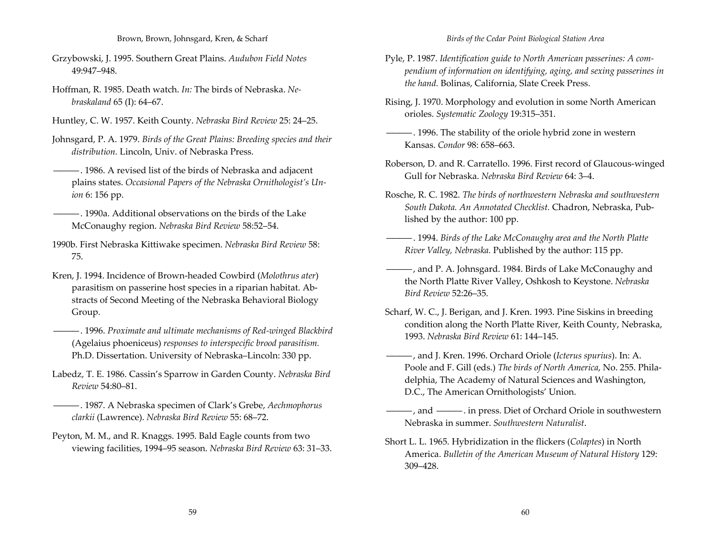- Grzybowski, J. 1995. Southern Great Plains. *Audubon Field Notes* 49:947–948.
- Hoffman, R. 1985. Death watch. *In:* The birds of Nebraska. *Ne‐ braskaland* 65 (I): 64–67.
- Huntley, C. W. 1957. Keith County. *Nebraska Bird Review* 25: 24–25.
- Johnsgard, P. A. 1979. *Birds of the Great Plains: Breeding species and their distribution.* Lincoln, Univ. of Nebraska Press.
- ————. 1986. A revised list of the birds of Nebraska and adjacent plains states. *Occasional Papers of the Nebraska Ornithologist's Un‐ ion* 6: 156 pp.
- ————. 1990a. Additional observations on the birds of the Lake McConaughy region. *Nebraska Bird Review* 58:52–54.
- 1990b. First Nebraska Kittiwake specimen. *Nebraska Bird Review* 58: 75.
- Kren, J. 1994. Incidence of Brown‐headed Cowbird (*Molothrus ater*) parasitism on passerine host species in <sup>a</sup> riparian habitat. Ab‐ stracts of Second Meeting of the Nebraska Behavioral Biology Group.
- ————. 1996. *Proximate and ultimate mechanisms of Red‐winged Blackbird* (Agelaius phoeniceus) *responses to interspecific brood parasitism.* Ph.D. Dissertation. University of Nebraska–Lincoln: 330 pp.
- Labedz, T. E. 1986. Cassin's Sparrow in Garden County. *Nebraska Bird Review* 54:80–81.
- ————. 1987. A Nebraska specimen of Clark's Grebe, *Aechmophorus clarkii* (Lawrence). *Nebraska Bird Review* 55: 68–72.
- Peyton, M. M., and R. Knaggs. 1995. Bald Eagle counts from two viewing facilities, 1994–95 season. *Nebraska Bird Review* 63: 31–33.
- Pyle, P. 1987. *Identification guide to North American passerines: A com‐ pendium of information on identifying, aging, and sexing passerines in the hand.* Bolinas, California, Slate Creek Press.
- Rising, J. 1970. Morphology and evolution in some North American orioles. *Systematic Zoology* 19:315–351.
- ————. 1996. The stability of the oriole hybrid zone in western Kansas. *Condor* 98: 658–663.
- Roberson, D. and R. Carratello. 1996. First record of Glaucous‐winged Gull for Nebraska. *Nebraska Bird Review* 64: 3–4.
- Rosche, R. C. 1982. *The birds of northwestern Nebraska and southwestern South Dakota. An Annotated Checklist.* Chadron, Nebraska, Pub‐ lished by the author: 100 pp.
- ————. 1994. *Birds of the Lake McConaughy area and the North Platte River Valley, Nebraska.* Published by the author: 115 pp.
- ————, and P. A. Johnsgard. 1984. Birds of Lake McConaughy and the North Platte River Valley, Oshkosh to Keystone. *Nebraska Bird Review* 52:26–35.
- Scharf, W. C., J. Berigan, and J. Kren. 1993. Pine Siskins in breeding condition along the North Platte River, Keith County, Nebraska, 1993. *Nebraska Bird Review* 61: 144–145.
- ————, and J. Kren. 1996. Orchard Oriole (*Icterus spurius*). In: A. Poole and F. Gill (eds.) *The birds of North America*, No. 255. Phila‐ delphia, The Academy of Natural Sciences and Washington, D.C., The American Ornithologists' Union.
- -, and  $\frac{1}{\sqrt{2}}$ . in press. Diet of Orchard Oriole in southwestern Nebraska in summer. *Southwestern Naturalist*.
- Short L. L. 1965. Hybridization in the flickers (*Colaptes*) in North America. *Bulletin of the American Museum of Natural History* 129: 309–428.